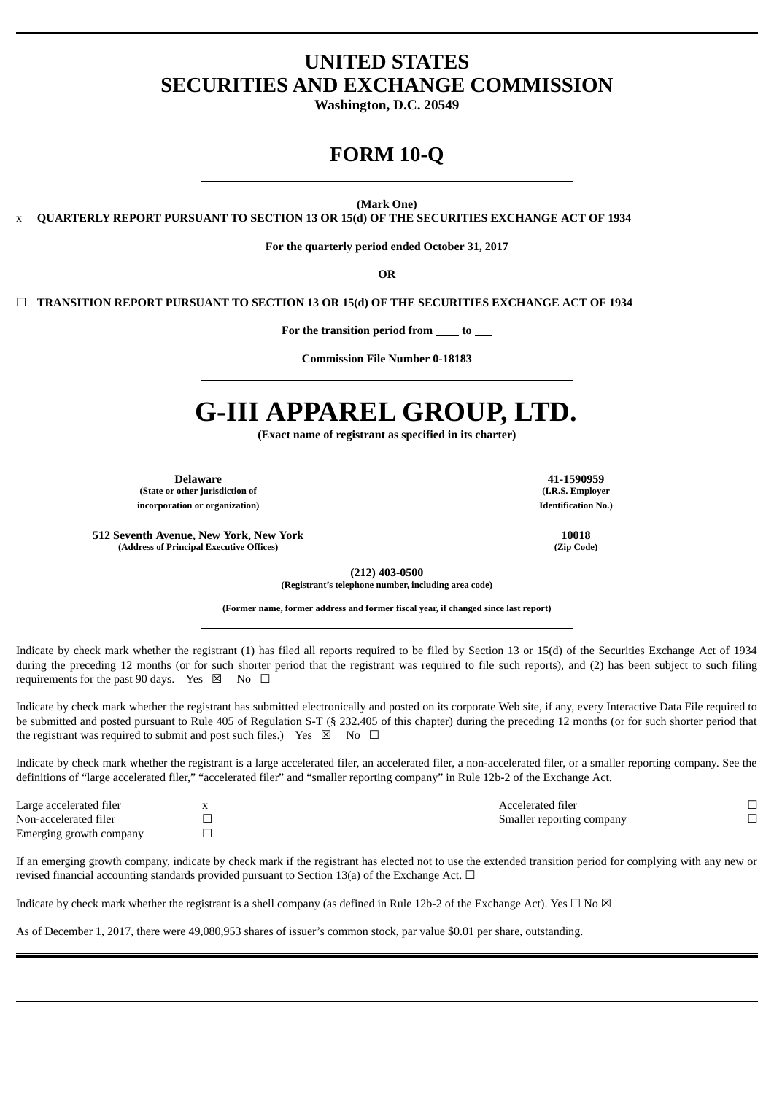# **UNITED STATES SECURITIES AND EXCHANGE COMMISSION**

**Washington, D.C. 20549**

# **FORM 10-Q**

**(Mark One)**

x **QUARTERLY REPORT PURSUANT TO SECTION 13 OR 15(d) OF THE SECURITIES EXCHANGE ACT OF 1934**

**For the quarterly period ended October 31, 2017**

**OR**

☐ **TRANSITION REPORT PURSUANT TO SECTION 13 OR 15(d) OF THE SECURITIES EXCHANGE ACT OF 1934**

**For the transition period from to**

**Commission File Number 0-18183**

# **G-III APPAREL GROUP, LTD.**

**(Exact name of registrant as specified in its charter)**

**Delaware 41-1590959 (State or other jurisdiction of incorporation or organization) Identification No.)**

**512 Seventh Avenue, New York, New York 10018 (Address of Principal Executive Offices) (Zip Code)**

**(212) 403-0500**

**(Registrant's telephone number, including area code)**

**(Former name, former address and former fiscal year, if changed since last report)**

Indicate by check mark whether the registrant (1) has filed all reports required to be filed by Section 13 or 15(d) of the Securities Exchange Act of 1934 during the preceding 12 months (or for such shorter period that the registrant was required to file such reports), and (2) has been subject to such filing requirements for the past 90 days. Yes  $\boxtimes$  No  $\Box$ 

Indicate by check mark whether the registrant has submitted electronically and posted on its corporate Web site, if any, every Interactive Data File required to be submitted and posted pursuant to Rule 405 of Regulation S-T (§ 232.405 of this chapter) during the preceding 12 months (or for such shorter period that the registrant was required to submit and post such files.) Yes  $\boxtimes$  No  $\Box$ 

Indicate by check mark whether the registrant is a large accelerated filer, an accelerated filer, a non-accelerated filer, or a smaller reporting company. See the definitions of "large accelerated filer," "accelerated filer" and "smaller reporting company" in Rule 12b-2 of the Exchange Act.

| Large accelerated filer | Accelerated filer         |  |
|-------------------------|---------------------------|--|
| Non-accelerated filer   | Smaller reporting company |  |
| Emerging growth company |                           |  |

If an emerging growth company, indicate by check mark if the registrant has elected not to use the extended transition period for complying with any new or revised financial accounting standards provided pursuant to Section 13(a) of the Exchange Act.  $\Box$ 

Indicate by check mark whether the registrant is a shell company (as defined in Rule 12b-2 of the Exchange Act). Yes  $\Box$  No  $\boxtimes$ 

As of December 1, 2017, there were 49,080,953 shares of issuer's common stock, par value \$0.01 per share, outstanding.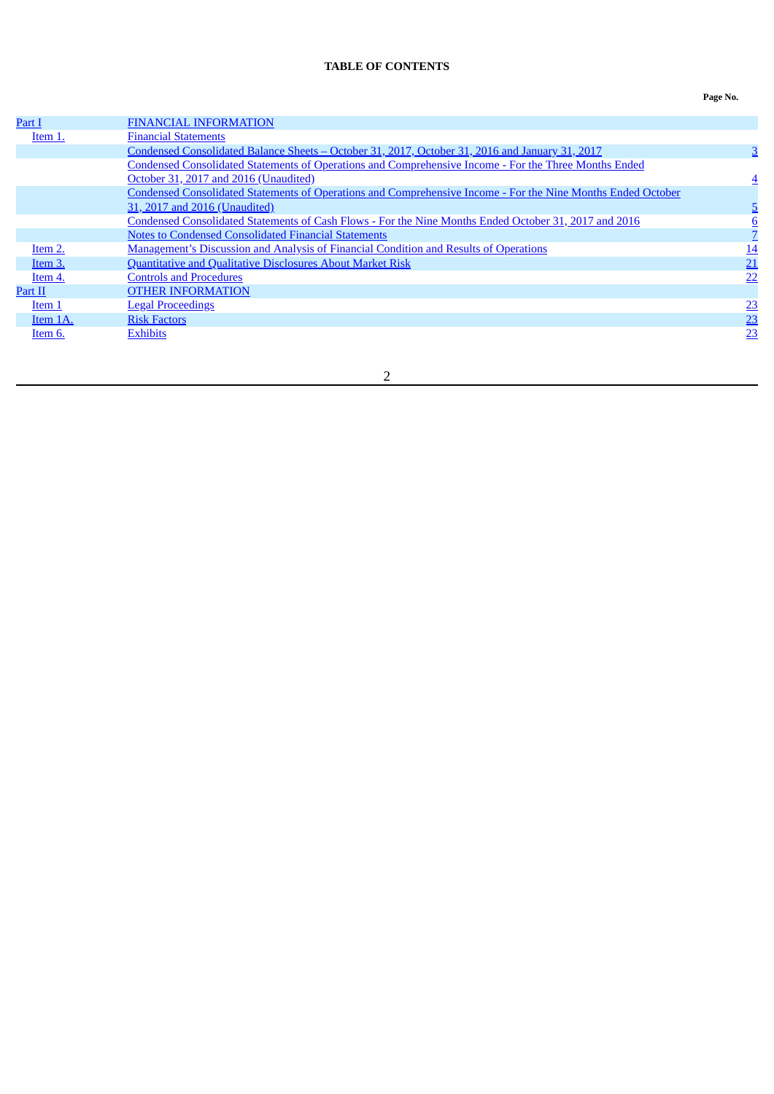# **TABLE OF CONTENTS**

<span id="page-1-0"></span>

| Part I   | <b>FINANCIAL INFORMATION</b>                                                                                        |           |
|----------|---------------------------------------------------------------------------------------------------------------------|-----------|
| Item 1.  | <b>Financial Statements</b>                                                                                         |           |
|          | Condensed Consolidated Balance Sheets - October 31, 2017, October 31, 2016 and January 31, 2017                     |           |
|          | Condensed Consolidated Statements of Operations and Comprehensive Income - For the Three Months Ended               |           |
|          | October 31, 2017 and 2016 (Unaudited)                                                                               | 4         |
|          | <b>Condensed Consolidated Statements of Operations and Comprehensive Income - For the Nine Months Ended October</b> |           |
|          | 31, 2017 and 2016 (Unaudited)                                                                                       |           |
|          | Condensed Consolidated Statements of Cash Flows - For the Nine Months Ended October 31, 2017 and 2016               | 6         |
|          | <b>Notes to Condensed Consolidated Financial Statements</b>                                                         |           |
| Item 2.  | <b>Management's Discussion and Analysis of Financial Condition and Results of Operations</b>                        | <u>14</u> |
| Item 3.  | Quantitative and Qualitative Disclosures About Market Risk                                                          | 21        |
| Item 4.  | <b>Controls and Procedures</b>                                                                                      | 22        |
| Part II  | <b>OTHER INFORMATION</b>                                                                                            |           |
| Item 1   | <b>Legal Proceedings</b>                                                                                            | 23        |
| Item 1A. | <b>Risk Factors</b>                                                                                                 | 23        |
| Item 6.  | <b>Exhibits</b>                                                                                                     | 23        |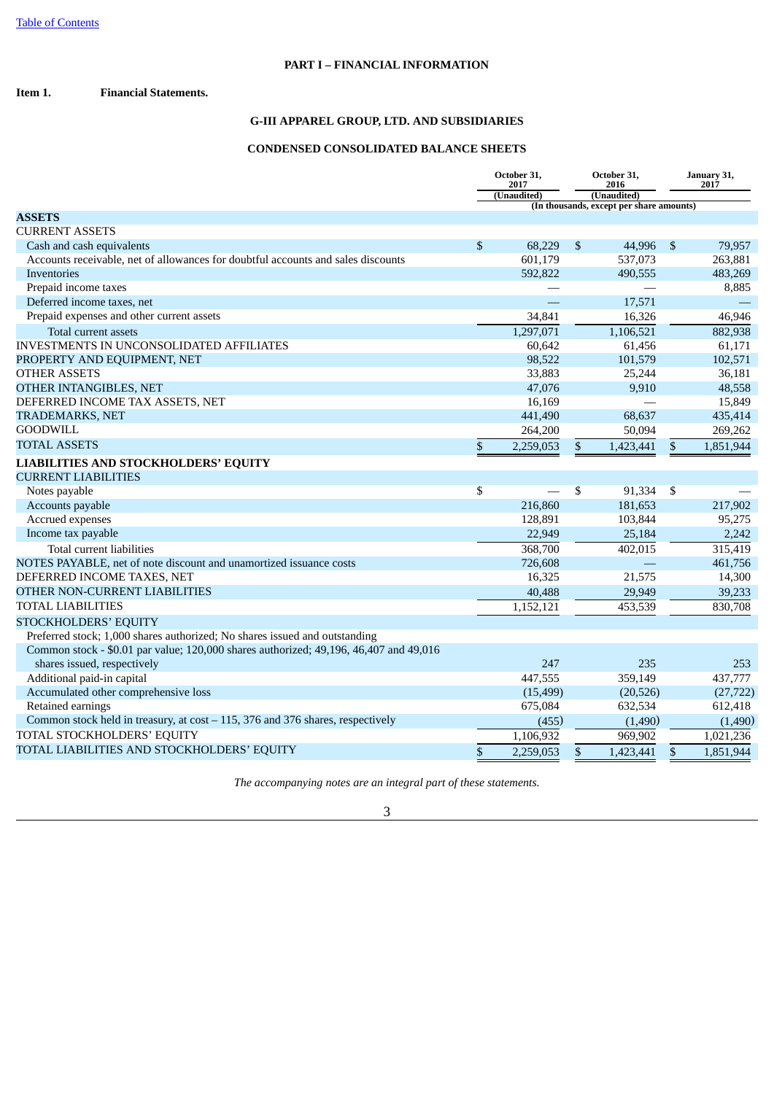# **PART I – FINANCIAL INFORMATION**

### <span id="page-2-2"></span><span id="page-2-1"></span><span id="page-2-0"></span>**Item 1. Financial Statements.**

# **G-III APPAREL GROUP, LTD. AND SUBSIDIARIES**

# **CONDENSED CONSOLIDATED BALANCE SHEETS**

|                                                                                       | October 31,<br>2017 |             | October 31,<br>2016 |                                          | January 31,<br>2017 |           |
|---------------------------------------------------------------------------------------|---------------------|-------------|---------------------|------------------------------------------|---------------------|-----------|
|                                                                                       |                     | (Unaudited) | (Unaudited)         |                                          |                     |           |
|                                                                                       |                     |             |                     | (In thousands, except per share amounts) |                     |           |
| <b>ASSETS</b>                                                                         |                     |             |                     |                                          |                     |           |
| <b>CURRENT ASSETS</b>                                                                 |                     |             |                     |                                          |                     |           |
| Cash and cash equivalents                                                             | \$                  | 68.229      | $\mathfrak{S}$      | 44.996                                   | $\mathfrak{S}$      | 79,957    |
| Accounts receivable, net of allowances for doubtful accounts and sales discounts      |                     | 601,179     |                     | 537,073                                  |                     | 263,881   |
| <b>Inventories</b>                                                                    |                     | 592,822     |                     | 490,555                                  |                     | 483,269   |
| Prepaid income taxes                                                                  |                     |             |                     |                                          |                     | 8,885     |
| Deferred income taxes, net                                                            |                     | $\equiv$    |                     | 17,571                                   |                     |           |
| Prepaid expenses and other current assets                                             |                     | 34,841      |                     | 16,326                                   |                     | 46,946    |
| Total current assets                                                                  |                     | 1,297,071   |                     | 1,106,521                                |                     | 882,938   |
| <b>INVESTMENTS IN UNCONSOLIDATED AFFILIATES</b>                                       |                     | 60,642      |                     | 61,456                                   |                     | 61,171    |
| PROPERTY AND EQUIPMENT, NET                                                           |                     | 98,522      |                     | 101,579                                  |                     | 102,571   |
| <b>OTHER ASSETS</b>                                                                   |                     | 33,883      |                     | 25,244                                   |                     | 36,181    |
| OTHER INTANGIBLES, NET                                                                |                     | 47,076      |                     | 9,910                                    |                     | 48,558    |
| DEFERRED INCOME TAX ASSETS, NET                                                       |                     | 16,169      |                     |                                          |                     | 15,849    |
| <b>TRADEMARKS, NET</b>                                                                |                     | 441,490     |                     | 68,637                                   |                     | 435,414   |
| <b>GOODWILL</b>                                                                       |                     | 264,200     |                     | 50,094                                   |                     | 269,262   |
| <b>TOTAL ASSETS</b>                                                                   | \$                  | 2,259,053   | \$                  | 1,423,441                                | \$                  | 1,851,944 |
| <b>LIABILITIES AND STOCKHOLDERS' EQUITY</b>                                           |                     |             |                     |                                          |                     |           |
| <b>CURRENT LIABILITIES</b>                                                            |                     |             |                     |                                          |                     |           |
| Notes payable                                                                         | \$                  |             | \$                  | 91,334                                   | \$                  |           |
| Accounts payable                                                                      |                     | 216,860     |                     | 181,653                                  |                     | 217,902   |
| Accrued expenses                                                                      |                     | 128,891     |                     | 103,844                                  |                     | 95,275    |
| Income tax payable                                                                    |                     | 22,949      |                     | 25,184                                   |                     | 2,242     |
| Total current liabilities                                                             |                     | 368,700     |                     | 402,015                                  |                     | 315,419   |
| NOTES PAYABLE, net of note discount and unamortized issuance costs                    |                     | 726,608     |                     |                                          |                     | 461,756   |
| DEFERRED INCOME TAXES, NET                                                            |                     | 16,325      |                     | 21,575                                   |                     | 14,300    |
| OTHER NON-CURRENT LIABILITIES                                                         |                     | 40,488      |                     | 29,949                                   |                     | 39,233    |
| <b>TOTAL LIABILITIES</b>                                                              |                     | 1,152,121   |                     | 453,539                                  |                     | 830,708   |
| STOCKHOLDERS' EQUITY                                                                  |                     |             |                     |                                          |                     |           |
| Preferred stock; 1,000 shares authorized; No shares issued and outstanding            |                     |             |                     |                                          |                     |           |
| Common stock - \$0.01 par value; 120,000 shares authorized; 49,196, 46,407 and 49,016 |                     |             |                     |                                          |                     |           |
| shares issued, respectively                                                           |                     | 247         |                     | 235                                      |                     | 253       |
| Additional paid-in capital                                                            |                     | 447,555     |                     | 359,149                                  |                     | 437,777   |
| Accumulated other comprehensive loss                                                  |                     | (15, 499)   |                     | (20, 526)                                |                     | (27, 722) |
| Retained earnings                                                                     |                     | 675,084     |                     | 632,534                                  |                     | 612,418   |
| Common stock held in treasury, at cost - 115, 376 and 376 shares, respectively        |                     | (455)       |                     | (1,490)                                  |                     | (1,490)   |
| TOTAL STOCKHOLDERS' EQUITY                                                            |                     | 1,106,932   |                     | 969,902                                  |                     | 1,021,236 |
| TOTAL LIABILITIES AND STOCKHOLDERS' EQUITY                                            | $\mathfrak{S}$      | 2,259,053   | \$                  | 1,423,441                                | \$                  | 1,851,944 |
|                                                                                       |                     |             |                     |                                          |                     |           |

*The accompanying notes are an integral part of these statements.*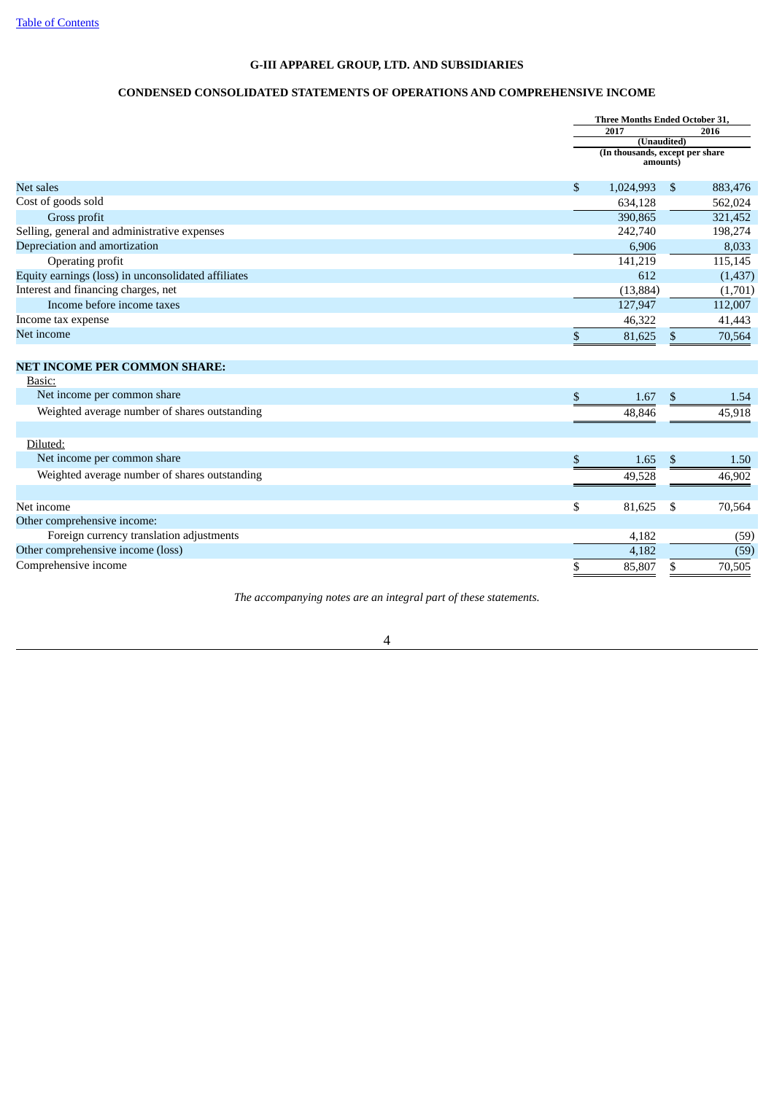# **CONDENSED CONSOLIDATED STATEMENTS OF OPERATIONS AND COMPREHENSIVE INCOME**

<span id="page-3-0"></span>

|                                                     | Three Months Ended October 31,              |              |          |
|-----------------------------------------------------|---------------------------------------------|--------------|----------|
|                                                     | 2017                                        |              | 2016     |
|                                                     | (Unaudited)                                 |              |          |
|                                                     | (In thousands, except per share<br>amounts) |              |          |
| Net sales                                           | \$<br>1,024,993                             | \$           | 883,476  |
| Cost of goods sold                                  | 634,128                                     |              | 562,024  |
| Gross profit                                        | 390,865                                     |              | 321,452  |
| Selling, general and administrative expenses        | 242,740                                     |              | 198,274  |
| Depreciation and amortization                       | 6,906                                       |              | 8,033    |
| Operating profit                                    | 141,219                                     |              | 115,145  |
| Equity earnings (loss) in unconsolidated affiliates | 612                                         |              | (1, 437) |
| Interest and financing charges, net                 | (13, 884)                                   |              | (1,701)  |
| Income before income taxes                          | 127,947                                     |              | 112,007  |
| Income tax expense                                  | 46,322                                      |              | 41,443   |
| Net income                                          | \$<br>81,625                                | \$           | 70,564   |
|                                                     |                                             |              |          |
| <b>NET INCOME PER COMMON SHARE:</b>                 |                                             |              |          |
| Basic:<br>Net income per common share               |                                             |              |          |
|                                                     | \$<br>1.67                                  | \$           | 1.54     |
| Weighted average number of shares outstanding       | 48,846                                      |              | 45,918   |
| Diluted:                                            |                                             |              |          |
| Net income per common share                         | \$<br>1.65                                  | $\mathbb{S}$ | 1.50     |
| Weighted average number of shares outstanding       | 49,528                                      |              | 46,902   |
|                                                     |                                             |              |          |
| Net income                                          | \$<br>81,625                                | \$           | 70,564   |
| Other comprehensive income:                         |                                             |              |          |
| Foreign currency translation adjustments            | 4,182                                       |              | (59)     |
| Other comprehensive income (loss)                   | 4,182                                       |              | (59)     |
| Comprehensive income                                | \$<br>85,807                                | \$           | 70,505   |

*The accompanying notes are an integral part of these statements.*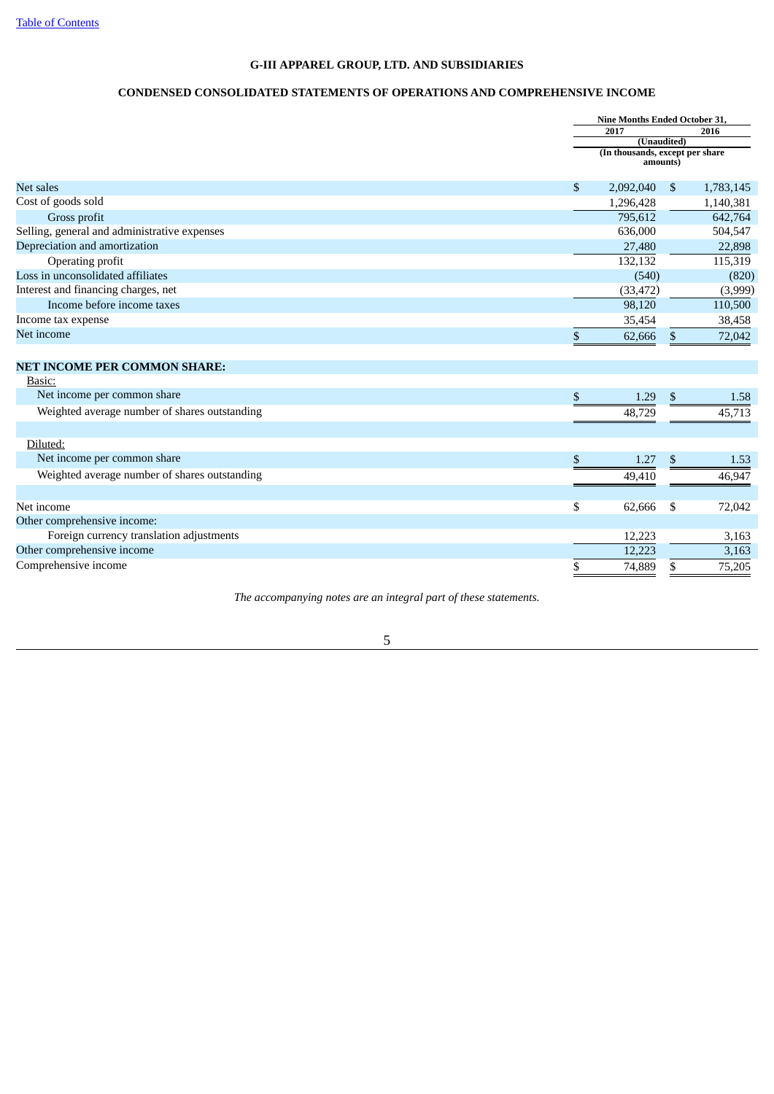# **CONDENSED CONSOLIDATED STATEMENTS OF OPERATIONS AND COMPREHENSIVE INCOME**

<span id="page-4-0"></span>

|                                               | <b>Nine Months Ended October 31,</b>        |    |           |
|-----------------------------------------------|---------------------------------------------|----|-----------|
|                                               | 2017                                        |    | 2016      |
|                                               | (Unaudited)                                 |    |           |
|                                               | (In thousands, except per share<br>amounts) |    |           |
| Net sales                                     | \$<br>2,092,040                             | \$ | 1,783,145 |
| Cost of goods sold                            | 1,296,428                                   |    | 1,140,381 |
| Gross profit                                  | 795,612                                     |    | 642,764   |
| Selling, general and administrative expenses  | 636,000                                     |    | 504,547   |
| Depreciation and amortization                 | 27,480                                      |    | 22,898    |
| Operating profit                              | 132,132                                     |    | 115,319   |
| Loss in unconsolidated affiliates             | (540)                                       |    | (820)     |
| Interest and financing charges, net           | (33, 472)                                   |    | (3,999)   |
| Income before income taxes                    | 98,120                                      |    | 110,500   |
| Income tax expense                            | 35,454                                      |    | 38,458    |
| Net income                                    | \$<br>62,666                                | \$ | 72,042    |
|                                               |                                             |    |           |
| <b>NET INCOME PER COMMON SHARE:</b>           |                                             |    |           |
| Basic:                                        |                                             |    |           |
| Net income per common share                   | \$<br>1.29                                  | \$ | 1.58      |
| Weighted average number of shares outstanding | 48,729                                      |    | 45,713    |
|                                               |                                             |    |           |
| Diluted:                                      |                                             |    |           |
| Net income per common share                   | \$<br>1.27                                  | \$ | 1.53      |
| Weighted average number of shares outstanding | 49,410                                      |    | 46,947    |
| Net income                                    | \$<br>62,666                                |    |           |
| Other comprehensive income:                   |                                             | \$ | 72,042    |
| Foreign currency translation adjustments      |                                             |    |           |
| Other comprehensive income                    | 12,223                                      |    | 3,163     |
|                                               | 12,223                                      |    | 3,163     |
| Comprehensive income                          | \$<br>74,889                                | \$ | 75,205    |

*The accompanying notes are an integral part of these statements.*

5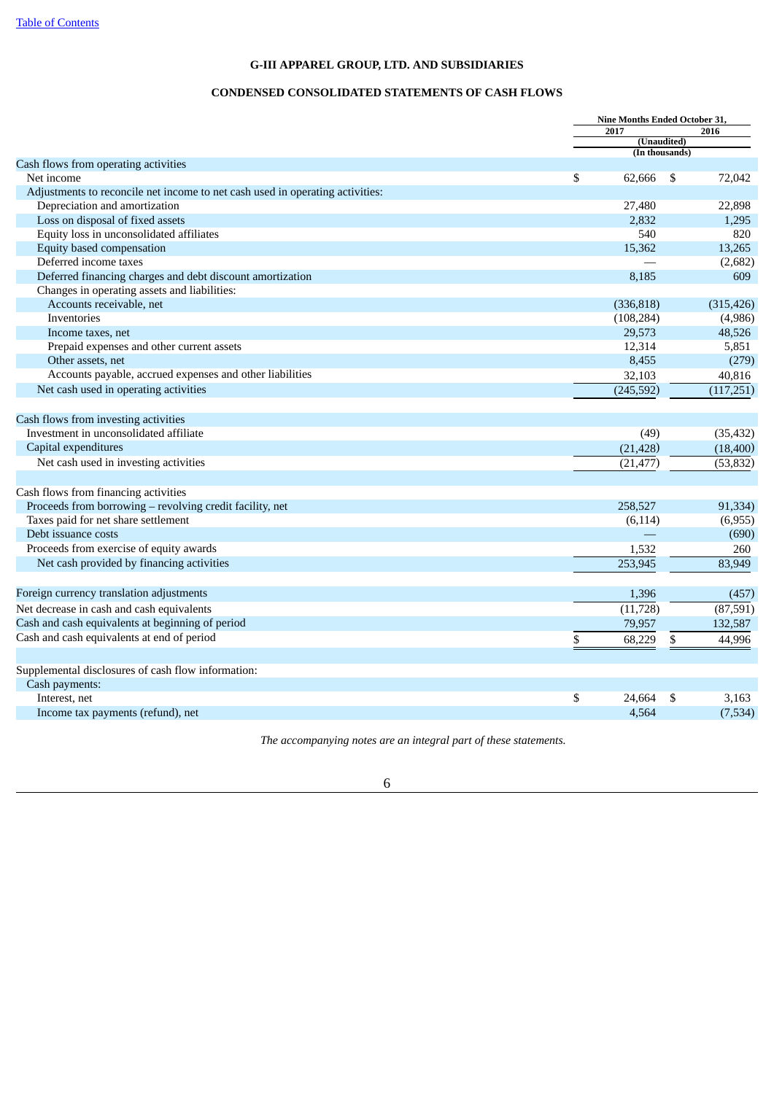# **CONDENSED CONSOLIDATED STATEMENTS OF CASH FLOWS**

<span id="page-5-0"></span>

|                                                                               | Nine Months Ended October 31, |    |            |
|-------------------------------------------------------------------------------|-------------------------------|----|------------|
|                                                                               | 2017                          |    | 2016       |
|                                                                               | (Unaudited)<br>(In thousands) |    |            |
| Cash flows from operating activities                                          |                               |    |            |
| Net income                                                                    | \$<br>62,666                  | \$ | 72,042     |
| Adjustments to reconcile net income to net cash used in operating activities: |                               |    |            |
| Depreciation and amortization                                                 | 27,480                        |    | 22,898     |
| Loss on disposal of fixed assets                                              | 2,832                         |    | 1,295      |
| Equity loss in unconsolidated affiliates                                      | 540                           |    | 820        |
| Equity based compensation                                                     | 15,362                        |    | 13,265     |
| Deferred income taxes                                                         |                               |    | (2,682)    |
| Deferred financing charges and debt discount amortization                     | 8.185                         |    | 609        |
| Changes in operating assets and liabilities:                                  |                               |    |            |
| Accounts receivable, net                                                      | (336, 818)                    |    | (315, 426) |
| Inventories                                                                   | (108, 284)                    |    | (4,986)    |
| Income taxes, net                                                             | 29,573                        |    | 48,526     |
| Prepaid expenses and other current assets                                     | 12,314                        |    | 5,851      |
| Other assets, net                                                             | 8,455                         |    | (279)      |
| Accounts payable, accrued expenses and other liabilities                      | 32,103                        |    | 40,816     |
| Net cash used in operating activities                                         | (245, 592)                    |    | (117,251)  |
|                                                                               |                               |    |            |
| Cash flows from investing activities                                          |                               |    |            |
| Investment in unconsolidated affiliate                                        | (49)                          |    | (35, 432)  |
| Capital expenditures                                                          | (21, 428)                     |    | (18, 400)  |
| Net cash used in investing activities                                         | (21, 477)                     |    | (53, 832)  |
|                                                                               |                               |    |            |
| Cash flows from financing activities                                          |                               |    |            |
| Proceeds from borrowing - revolving credit facility, net                      | 258,527                       |    | 91,334)    |
| Taxes paid for net share settlement                                           | (6, 114)                      |    | (6,955)    |
| Debt issuance costs                                                           |                               |    | (690)      |
| Proceeds from exercise of equity awards                                       | 1,532                         |    | 260        |
| Net cash provided by financing activities                                     | 253,945                       |    | 83,949     |
|                                                                               |                               |    |            |
| Foreign currency translation adjustments                                      | 1,396                         |    | (457)      |
| Net decrease in cash and cash equivalents                                     | (11, 728)                     |    | (87, 591)  |
| Cash and cash equivalents at beginning of period                              |                               |    |            |
|                                                                               | 79,957                        |    | 132,587    |
| Cash and cash equivalents at end of period                                    | \$<br>68,229                  | \$ | 44,996     |
| Supplemental disclosures of cash flow information:                            |                               |    |            |
| Cash payments:                                                                |                               |    |            |
| Interest, net                                                                 | \$<br>24.664                  | \$ | 3,163      |
| Income tax payments (refund), net                                             | 4,564                         |    | (7,534)    |
|                                                                               |                               |    |            |

*The accompanying notes are an integral part of these statements.*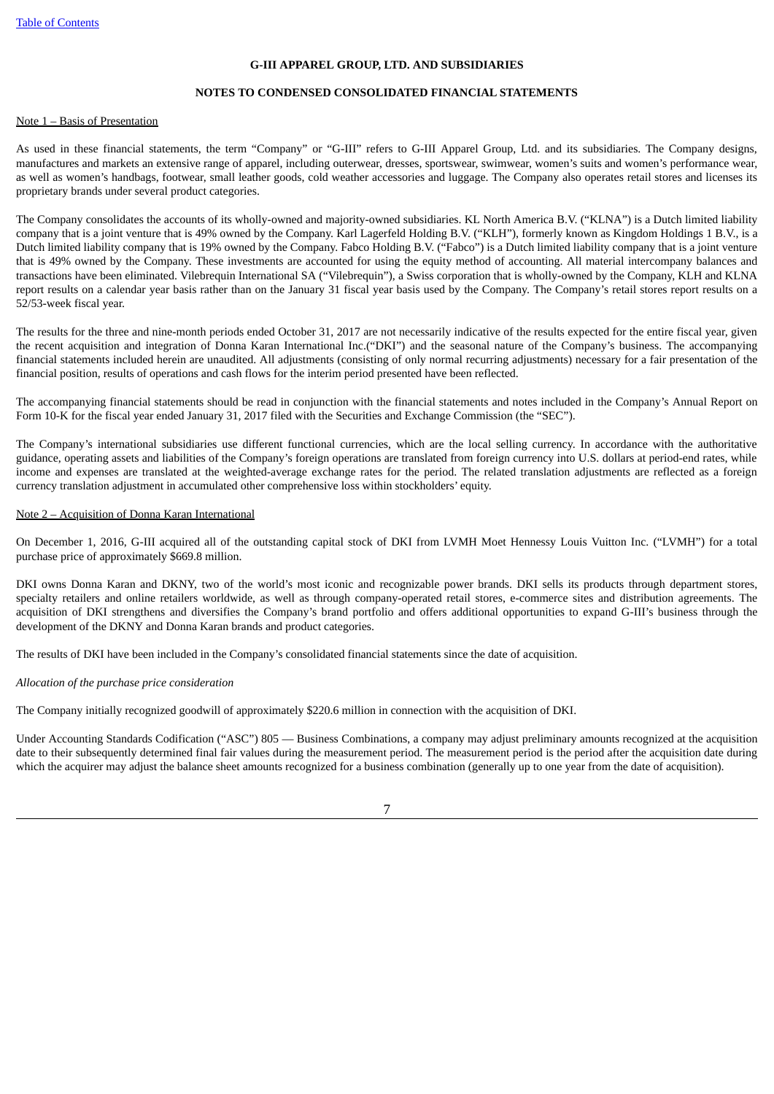#### **NOTES TO CONDENSED CONSOLIDATED FINANCIAL STATEMENTS**

#### <span id="page-6-0"></span>Note 1 – Basis of Presentation

As used in these financial statements, the term "Company" or "G-III" refers to G-III Apparel Group, Ltd. and its subsidiaries. The Company designs, manufactures and markets an extensive range of apparel, including outerwear, dresses, sportswear, swimwear, women's suits and women's performance wear, as well as women's handbags, footwear, small leather goods, cold weather accessories and luggage. The Company also operates retail stores and licenses its proprietary brands under several product categories.

The Company consolidates the accounts of its wholly-owned and majority-owned subsidiaries. KL North America B.V. ("KLNA") is a Dutch limited liability company that is a joint venture that is 49% owned by the Company. Karl Lagerfeld Holding B.V. ("KLH"), formerly known as Kingdom Holdings 1 B.V., is a Dutch limited liability company that is 19% owned by the Company. Fabco Holding B.V. ("Fabco") is a Dutch limited liability company that is a joint venture that is 49% owned by the Company. These investments are accounted for using the equity method of accounting. All material intercompany balances and transactions have been eliminated. Vilebrequin International SA ("Vilebrequin"), a Swiss corporation that is wholly-owned by the Company, KLH and KLNA report results on a calendar year basis rather than on the January 31 fiscal year basis used by the Company. The Company's retail stores report results on a 52/53-week fiscal year.

The results for the three and nine-month periods ended October 31, 2017 are not necessarily indicative of the results expected for the entire fiscal year, given the recent acquisition and integration of Donna Karan International Inc.("DKI") and the seasonal nature of the Company's business. The accompanying financial statements included herein are unaudited. All adjustments (consisting of only normal recurring adjustments) necessary for a fair presentation of the financial position, results of operations and cash flows for the interim period presented have been reflected.

The accompanying financial statements should be read in conjunction with the financial statements and notes included in the Company's Annual Report on Form 10-K for the fiscal year ended January 31, 2017 filed with the Securities and Exchange Commission (the "SEC").

The Company's international subsidiaries use different functional currencies, which are the local selling currency. In accordance with the authoritative guidance, operating assets and liabilities of the Company's foreign operations are translated from foreign currency into U.S. dollars at period-end rates, while income and expenses are translated at the weighted-average exchange rates for the period. The related translation adjustments are reflected as a foreign currency translation adjustment in accumulated other comprehensive loss within stockholders' equity.

#### Note 2 – Acquisition of Donna Karan International

On December 1, 2016, G-III acquired all of the outstanding capital stock of DKI from LVMH Moet Hennessy Louis Vuitton Inc. ("LVMH") for a total purchase price of approximately \$669.8 million.

DKI owns Donna Karan and DKNY, two of the world's most iconic and recognizable power brands. DKI sells its products through department stores, specialty retailers and online retailers worldwide, as well as through company-operated retail stores, e-commerce sites and distribution agreements. The acquisition of DKI strengthens and diversifies the Company's brand portfolio and offers additional opportunities to expand G-III's business through the development of the DKNY and Donna Karan brands and product categories.

The results of DKI have been included in the Company's consolidated financial statements since the date of acquisition.

#### *Allocation of the purchase price consideration*

The Company initially recognized goodwill of approximately \$220.6 million in connection with the acquisition of DKI.

Under Accounting Standards Codification ("ASC") 805 — Business Combinations, a company may adjust preliminary amounts recognized at the acquisition date to their subsequently determined final fair values during the measurement period. The measurement period is the period after the acquisition date during which the acquirer may adjust the balance sheet amounts recognized for a business combination (generally up to one year from the date of acquisition).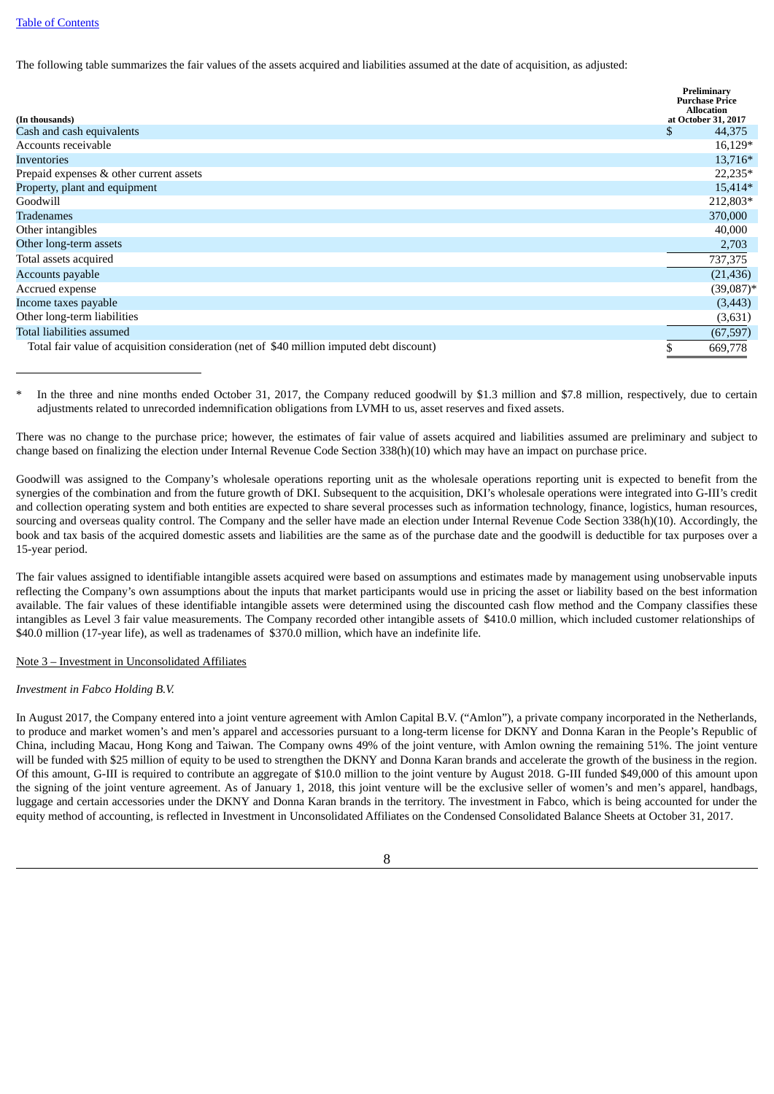#### Table of [Contents](#page-1-0)

The following table summarizes the fair values of the assets acquired and liabilities assumed at the date of acquisition, as adjusted:

| (In thousands)                                                                            | Preliminary<br><b>Purchase Price</b><br><b>Allocation</b><br>at October 31, 2017 |
|-------------------------------------------------------------------------------------------|----------------------------------------------------------------------------------|
| Cash and cash equivalents                                                                 | \$<br>44,375                                                                     |
| Accounts receivable                                                                       | $16,129*$                                                                        |
| Inventories                                                                               | 13,716*                                                                          |
| Prepaid expenses & other current assets                                                   | 22,235*                                                                          |
| Property, plant and equipment                                                             | 15,414*                                                                          |
| Goodwill                                                                                  | 212,803*                                                                         |
| Tradenames                                                                                | 370,000                                                                          |
| Other intangibles                                                                         | 40,000                                                                           |
| Other long-term assets                                                                    | 2,703                                                                            |
| Total assets acquired                                                                     | 737,375                                                                          |
| Accounts payable                                                                          | (21, 436)                                                                        |
| Accrued expense                                                                           | $(39,087)$ *                                                                     |
| Income taxes payable                                                                      | (3, 443)                                                                         |
| Other long-term liabilities                                                               | (3,631)                                                                          |
| Total liabilities assumed                                                                 | (67, 597)                                                                        |
| Total fair value of acquisition consideration (net of \$40 million imputed debt discount) | \$<br>669,778                                                                    |

In the three and nine months ended October 31, 2017, the Company reduced goodwill by \$1.3 million and \$7.8 million, respectively, due to certain adjustments related to unrecorded indemnification obligations from LVMH to us, asset reserves and fixed assets.

There was no change to the purchase price; however, the estimates of fair value of assets acquired and liabilities assumed are preliminary and subject to change based on finalizing the election under Internal Revenue Code Section 338(h)(10) which may have an impact on purchase price.

Goodwill was assigned to the Company's wholesale operations reporting unit as the wholesale operations reporting unit is expected to benefit from the synergies of the combination and from the future growth of DKI. Subsequent to the acquisition, DKI's wholesale operations were integrated into G-III's credit and collection operating system and both entities are expected to share several processes such as information technology, finance, logistics, human resources, sourcing and overseas quality control. The Company and the seller have made an election under Internal Revenue Code Section 338(h)(10). Accordingly, the book and tax basis of the acquired domestic assets and liabilities are the same as of the purchase date and the goodwill is deductible for tax purposes over a 15-year period.

The fair values assigned to identifiable intangible assets acquired were based on assumptions and estimates made by management using unobservable inputs reflecting the Company's own assumptions about the inputs that market participants would use in pricing the asset or liability based on the best information available. The fair values of these identifiable intangible assets were determined using the discounted cash flow method and the Company classifies these intangibles as Level 3 fair value measurements. The Company recorded other intangible assets of \$410.0 million, which included customer relationships of \$40.0 million (17-year life), as well as tradenames of \$370.0 million, which have an indefinite life.

#### Note 3 – Investment in Unconsolidated Affiliates

#### *Investment in Fabco Holding B.V.*

In August 2017, the Company entered into a joint venture agreement with Amlon Capital B.V. ("Amlon"), a private company incorporated in the Netherlands, to produce and market women's and men's apparel and accessories pursuant to a long-term license for DKNY and Donna Karan in the People's Republic of China, including Macau, Hong Kong and Taiwan. The Company owns 49% of the joint venture, with Amlon owning the remaining 51%. The joint venture will be funded with \$25 million of equity to be used to strengthen the DKNY and Donna Karan brands and accelerate the growth of the business in the region. Of this amount, G-III is required to contribute an aggregate of \$10.0 million to the joint venture by August 2018. G-III funded \$49,000 of this amount upon the signing of the joint venture agreement. As of January 1, 2018, this joint venture will be the exclusive seller of women's and men's apparel, handbags, luggage and certain accessories under the DKNY and Donna Karan brands in the territory. The investment in Fabco, which is being accounted for under the equity method of accounting, is reflected in Investment in Unconsolidated Affiliates on the Condensed Consolidated Balance Sheets at October 31, 2017.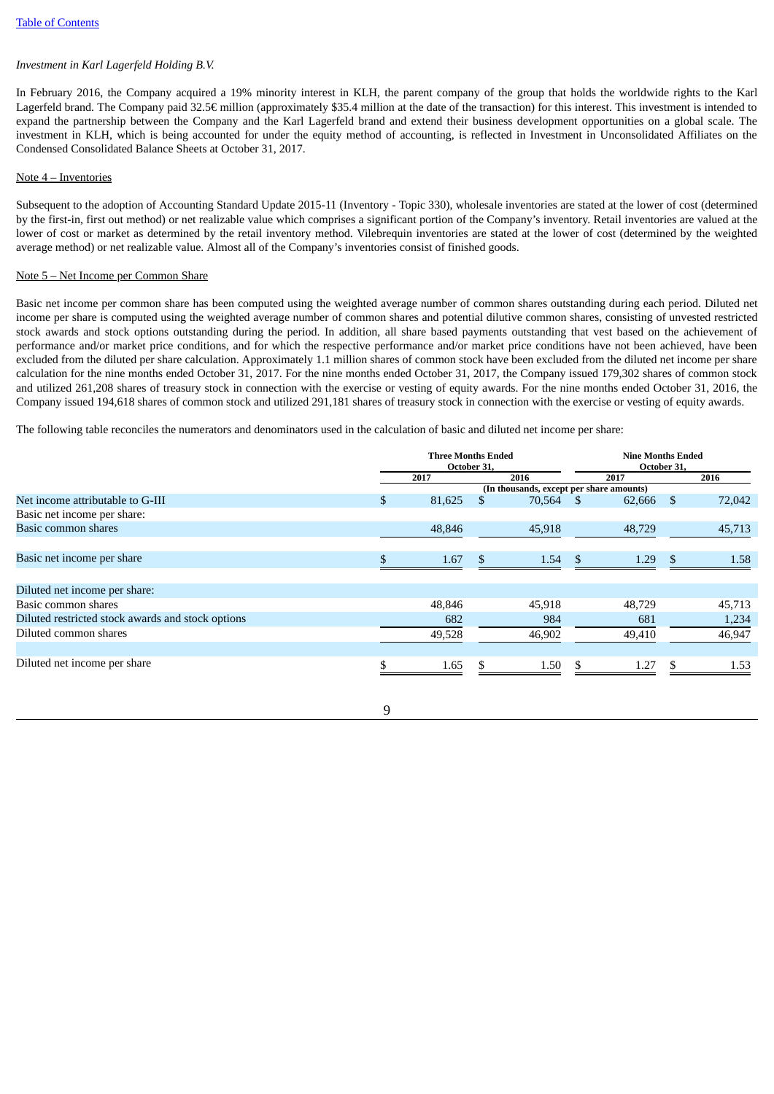# *Investment in Karl Lagerfeld Holding B.V.*

In February 2016, the Company acquired a 19% minority interest in KLH, the parent company of the group that holds the worldwide rights to the Karl Lagerfeld brand. The Company paid 32.5€ million (approximately \$35.4 million at the date of the transaction) for this interest. This investment is intended to expand the partnership between the Company and the Karl Lagerfeld brand and extend their business development opportunities on a global scale. The investment in KLH, which is being accounted for under the equity method of accounting, is reflected in Investment in Unconsolidated Affiliates on the Condensed Consolidated Balance Sheets at October 31, 2017.

#### Note 4 – Inventories

Subsequent to the adoption of Accounting Standard Update 2015-11 (Inventory - Topic 330), wholesale inventories are stated at the lower of cost (determined by the first-in, first out method) or net realizable value which comprises a significant portion of the Company's inventory. Retail inventories are valued at the lower of cost or market as determined by the retail inventory method. Vilebrequin inventories are stated at the lower of cost (determined by the weighted average method) or net realizable value. Almost all of the Company's inventories consist of finished goods.

#### Note 5 – Net Income per Common Share

Basic net income per common share has been computed using the weighted average number of common shares outstanding during each period. Diluted net income per share is computed using the weighted average number of common shares and potential dilutive common shares, consisting of unvested restricted stock awards and stock options outstanding during the period. In addition, all share based payments outstanding that vest based on the achievement of performance and/or market price conditions, and for which the respective performance and/or market price conditions have not been achieved, have been excluded from the diluted per share calculation. Approximately 1.1 million shares of common stock have been excluded from the diluted net income per share calculation for the nine months ended October 31, 2017. For the nine months ended October 31, 2017, the Company issued 179,302 shares of common stock and utilized 261,208 shares of treasury stock in connection with the exercise or vesting of equity awards. For the nine months ended October 31, 2016, the Company issued 194,618 shares of common stock and utilized 291,181 shares of treasury stock in connection with the exercise or vesting of equity awards.

The following table reconciles the numerators and denominators used in the calculation of basic and diluted net income per share:

|                                                   | <b>Three Months Ended</b><br>October 31. |        |     | <b>Nine Months Ended</b><br>October 31,  |               |        |               |        |
|---------------------------------------------------|------------------------------------------|--------|-----|------------------------------------------|---------------|--------|---------------|--------|
|                                                   |                                          | 2017   |     | 2016                                     |               | 2017   |               | 2016   |
|                                                   |                                          |        |     | (In thousands, except per share amounts) |               |        |               |        |
| Net income attributable to G-III                  | \$                                       | 81,625 |     | 70,564                                   | $\sim$ \$     | 62,666 | <sup>\$</sup> | 72,042 |
| Basic net income per share:                       |                                          |        |     |                                          |               |        |               |        |
| Basic common shares                               |                                          | 48,846 |     | 45,918                                   |               | 48,729 |               | 45,713 |
|                                                   |                                          |        |     |                                          |               |        |               |        |
| Basic net income per share                        |                                          | 1.67   | \$. | 1.54                                     | <sup>\$</sup> | 1.29   | S             | 1.58   |
|                                                   |                                          |        |     |                                          |               |        |               |        |
| Diluted net income per share:                     |                                          |        |     |                                          |               |        |               |        |
| Basic common shares                               |                                          | 48,846 |     | 45,918                                   |               | 48,729 |               | 45,713 |
| Diluted restricted stock awards and stock options |                                          | 682    |     | 984                                      |               | 681    |               | 1,234  |
| Diluted common shares                             |                                          | 49,528 |     | 46,902                                   |               | 49,410 |               | 46,947 |
|                                                   |                                          |        |     |                                          |               |        |               |        |
| Diluted net income per share                      |                                          | 1.65   | \$  | 1.50                                     | \$.           | 1.27   | \$.           | 1.53   |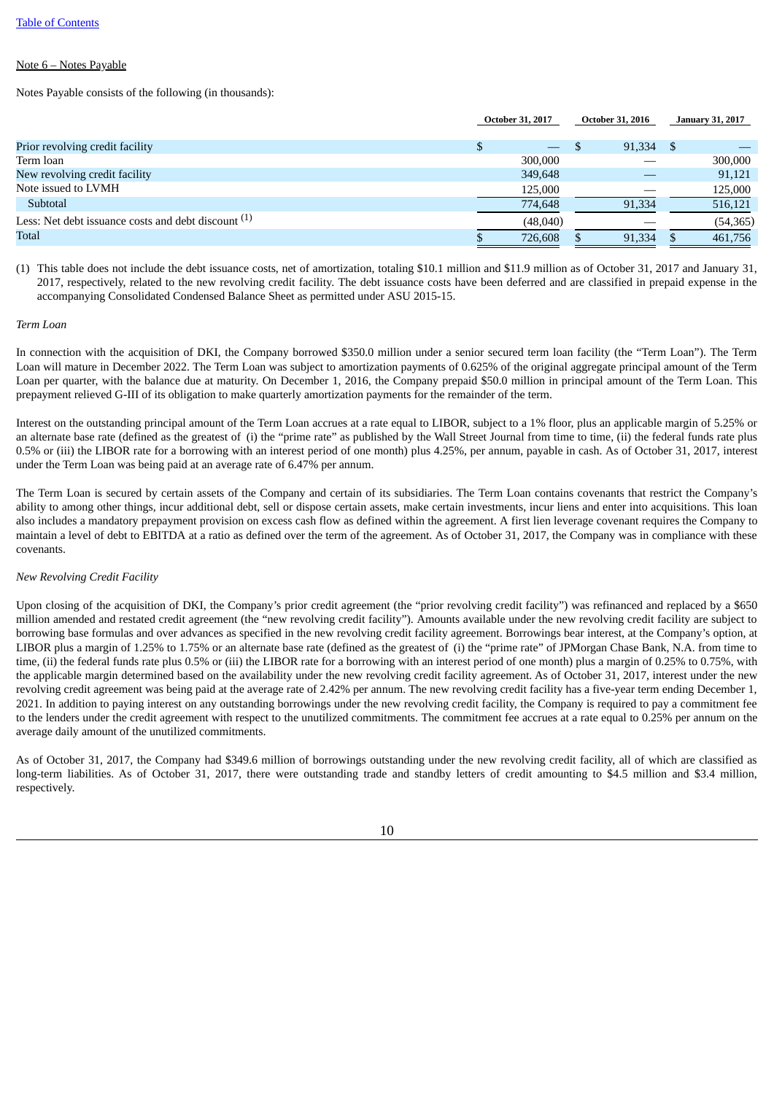#### Note 6 – Notes Payable

Notes Payable consists of the following (in thousands):

|                                                                | <b>October 31, 2017</b> |                          | <b>October 31, 2016</b> |      | <b>January 31, 2017</b> |
|----------------------------------------------------------------|-------------------------|--------------------------|-------------------------|------|-------------------------|
| Prior revolving credit facility                                |                         | $\overline{\phantom{0}}$ | 91,334                  | - \$ |                         |
| Term loan                                                      | 300,000                 |                          |                         |      | 300,000                 |
| New revolving credit facility                                  | 349,648                 |                          |                         |      | 91,121                  |
| Note issued to LVMH                                            | 125,000                 |                          |                         |      | 125,000                 |
| Subtotal                                                       | 774,648                 |                          | 91,334                  |      | 516,121                 |
| Less: Net debt issuance costs and debt discount <sup>(1)</sup> | (48,040)                |                          |                         |      | (54, 365)               |
| <b>Total</b>                                                   | 726,608                 |                          | 91,334                  |      | 461,756                 |
|                                                                |                         |                          |                         |      |                         |

(1) This table does not include the debt issuance costs, net of amortization, totaling \$10.1 million and \$11.9 million as of October 31, 2017 and January 31, 2017, respectively, related to the new revolving credit facility. The debt issuance costs have been deferred and are classified in prepaid expense in the accompanying Consolidated Condensed Balance Sheet as permitted under ASU 2015-15.

#### *Term Loan*

In connection with the acquisition of DKI, the Company borrowed \$350.0 million under a senior secured term loan facility (the "Term Loan"). The Term Loan will mature in December 2022. The Term Loan was subject to amortization payments of 0.625% of the original aggregate principal amount of the Term Loan per quarter, with the balance due at maturity. On December 1, 2016, the Company prepaid \$50.0 million in principal amount of the Term Loan. This prepayment relieved G-III of its obligation to make quarterly amortization payments for the remainder of the term.

Interest on the outstanding principal amount of the Term Loan accrues at a rate equal to LIBOR, subject to a 1% floor, plus an applicable margin of 5.25% or an alternate base rate (defined as the greatest of (i) the "prime rate" as published by the Wall Street Journal from time to time, (ii) the federal funds rate plus 0.5% or (iii) the LIBOR rate for a borrowing with an interest period of one month) plus 4.25%, per annum, payable in cash. As of October 31, 2017, interest under the Term Loan was being paid at an average rate of 6.47% per annum.

The Term Loan is secured by certain assets of the Company and certain of its subsidiaries. The Term Loan contains covenants that restrict the Company's ability to among other things, incur additional debt, sell or dispose certain assets, make certain investments, incur liens and enter into acquisitions. This loan also includes a mandatory prepayment provision on excess cash flow as defined within the agreement. A first lien leverage covenant requires the Company to maintain a level of debt to EBITDA at a ratio as defined over the term of the agreement. As of October 31, 2017, the Company was in compliance with these covenants.

#### *New Revolving Credit Facility*

Upon closing of the acquisition of DKI, the Company's prior credit agreement (the "prior revolving credit facility") was refinanced and replaced by a \$650 million amended and restated credit agreement (the "new revolving credit facility"). Amounts available under the new revolving credit facility are subject to borrowing base formulas and over advances as specified in the new revolving credit facility agreement. Borrowings bear interest, at the Company's option, at LIBOR plus a margin of 1.25% to 1.75% or an alternate base rate (defined as the greatest of (i) the "prime rate" of JPMorgan Chase Bank, N.A. from time to time, (ii) the federal funds rate plus 0.5% or (iii) the LIBOR rate for a borrowing with an interest period of one month) plus a margin of 0.25% to 0.75%, with the applicable margin determined based on the availability under the new revolving credit facility agreement. As of October 31, 2017, interest under the new revolving credit agreement was being paid at the average rate of 2.42% per annum. The new revolving credit facility has a five-year term ending December 1, 2021. In addition to paying interest on any outstanding borrowings under the new revolving credit facility, the Company is required to pay a commitment fee to the lenders under the credit agreement with respect to the unutilized commitments. The commitment fee accrues at a rate equal to 0.25% per annum on the average daily amount of the unutilized commitments.

As of October 31, 2017, the Company had \$349.6 million of borrowings outstanding under the new revolving credit facility, all of which are classified as long-term liabilities. As of October 31, 2017, there were outstanding trade and standby letters of credit amounting to \$4.5 million and \$3.4 million, respectively.

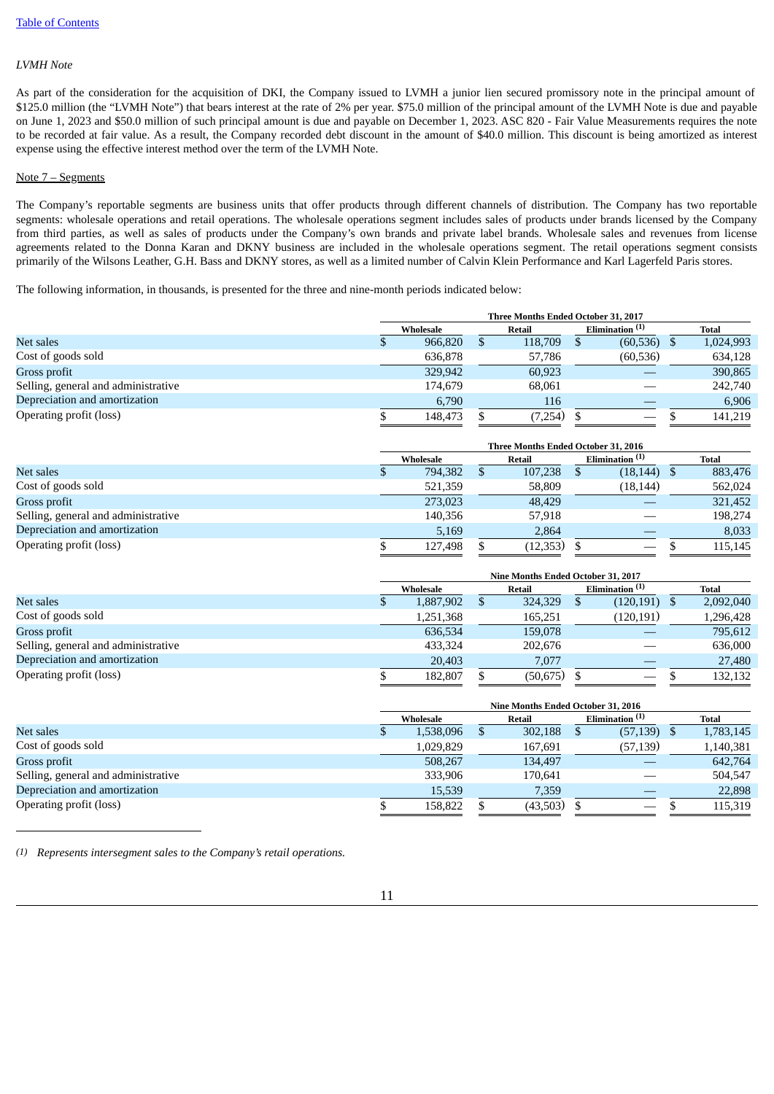#### *LVMH Note*

As part of the consideration for the acquisition of DKI, the Company issued to LVMH a junior lien secured promissory note in the principal amount of \$125.0 million (the "LVMH Note") that bears interest at the rate of 2% per year. \$75.0 million of the principal amount of the LVMH Note is due and payable on June 1, 2023 and \$50.0 million of such principal amount is due and payable on December 1, 2023. ASC 820 - Fair Value Measurements requires the note to be recorded at fair value. As a result, the Company recorded debt discount in the amount of \$40.0 million. This discount is being amortized as interest expense using the effective interest method over the term of the LVMH Note.

#### Note 7 – Segments

The Company's reportable segments are business units that offer products through different channels of distribution. The Company has two reportable segments: wholesale operations and retail operations. The wholesale operations segment includes sales of products under brands licensed by the Company from third parties, as well as sales of products under the Company's own brands and private label brands. Wholesale sales and revenues from license agreements related to the Donna Karan and DKNY business are included in the wholesale operations segment. The retail operations segment consists primarily of the Wilsons Leather, G.H. Bass and DKNY stores, as well as a limited number of Calvin Klein Performance and Karl Lagerfeld Paris stores.

The following information, in thousands, is presented for the three and nine-month periods indicated below:

| Three Months Ended October 31, 2017 |         |           |         |  |           |                   |              |
|-------------------------------------|---------|-----------|---------|--|-----------|-------------------|--------------|
|                                     |         |           | Retail  |  |           |                   | <b>Total</b> |
|                                     | 966,820 |           | 118,709 |  | (60, 536) |                   | 1,024,993    |
|                                     | 636,878 |           | 57,786  |  | (60, 536) |                   | 634,128      |
|                                     | 329,942 |           | 60,923  |  |           |                   | 390,865      |
|                                     | 174,679 |           | 68,061  |  |           |                   | 242,740      |
|                                     | 6,790   |           | 116     |  |           |                   | 6,906        |
|                                     | 148,473 |           | (7,254) |  |           |                   | 141.219      |
|                                     |         | Wholesale |         |  |           | Elimination $(1)$ |              |

|                                     | Three Months Ended October 31, 2016 |           |  |          |  |                                 |  |         |
|-------------------------------------|-------------------------------------|-----------|--|----------|--|---------------------------------|--|---------|
|                                     |                                     | Wholesale |  | Retail   |  | Elimination <sup>(1)</sup>      |  | Total   |
| Net sales                           |                                     | 794,382   |  | 107,238  |  | $(18, 144)$ \$                  |  | 883,476 |
| Cost of goods sold                  |                                     | 521,359   |  | 58,809   |  | (18, 144)                       |  | 562,024 |
| Gross profit                        |                                     | 273,023   |  | 48,429   |  |                                 |  | 321,452 |
| Selling, general and administrative |                                     | 140,356   |  | 57,918   |  |                                 |  | 198,274 |
| Depreciation and amortization       |                                     | 5,169     |  | 2,864    |  |                                 |  | 8,033   |
| Operating profit (loss)             |                                     | 127,498   |  | (12,353) |  | $\hspace{0.1mm}-\hspace{0.1mm}$ |  | 115,145 |

|                                     | Nine Months Ended October 31, 2017 |  |               |  |                            |  |           |
|-------------------------------------|------------------------------------|--|---------------|--|----------------------------|--|-----------|
|                                     | Wholesale                          |  | <b>Retail</b> |  | Elimination <sup>(1)</sup> |  | Total     |
| Net sales                           | 1,887,902                          |  | 324,329       |  | $(120, 191)$ \$            |  | 2,092,040 |
| Cost of goods sold                  | 1,251,368                          |  | 165,251       |  | (120, 191)                 |  | 1,296,428 |
| Gross profit                        | 636,534                            |  | 159,078       |  |                            |  | 795,612   |
| Selling, general and administrative | 433.324                            |  | 202,676       |  |                            |  | 636,000   |
| Depreciation and amortization       | 20,403                             |  | 7.077         |  |                            |  | 27,480    |
| Operating profit (loss)             | 182,807                            |  | (50, 675)     |  | $\qquad \qquad$            |  | 132,132   |

|                                     | Nine Months Ended October 31, 2016 |           |  |          |  |                   |  |                            |  |              |
|-------------------------------------|------------------------------------|-----------|--|----------|--|-------------------|--|----------------------------|--|--------------|
|                                     |                                    | Wholesale |  |          |  | Retail            |  | Elimination <sup>(1)</sup> |  | <b>Total</b> |
| Net sales                           |                                    | 1,538,096 |  | 302,188  |  | $(57,139)$ \$     |  | 1,783,145                  |  |              |
| Cost of goods sold                  |                                    | 1,029,829 |  | 167,691  |  | (57, 139)         |  | 1,140,381                  |  |              |
| Gross profit                        |                                    | 508.267   |  | 134.497  |  |                   |  | 642,764                    |  |              |
| Selling, general and administrative |                                    | 333,906   |  | 170.641  |  |                   |  | 504,547                    |  |              |
| Depreciation and amortization       |                                    | 15,539    |  | 7,359    |  |                   |  | 22,898                     |  |              |
| Operating profit (loss)             |                                    | 158,822   |  | (43,503) |  | $\hspace{0.05cm}$ |  | 115,319                    |  |              |

*(1) Represents intersegment sales to the Company's retail operations.*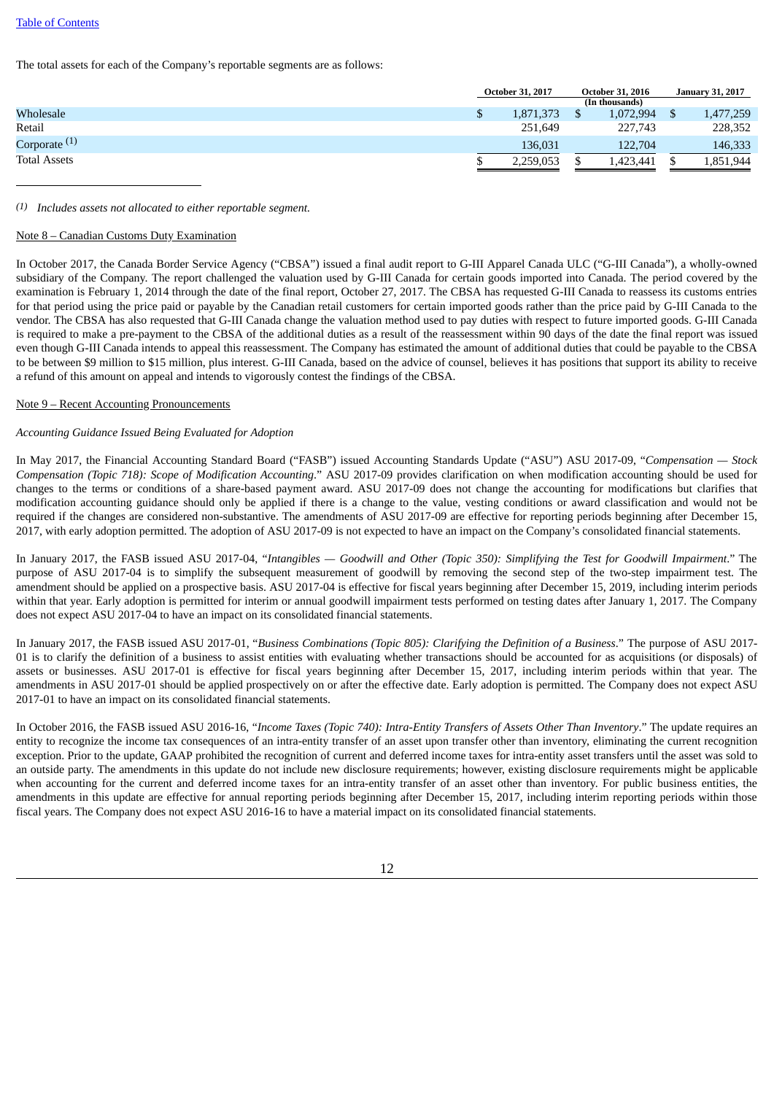#### Table of [Contents](#page-1-0)

The total assets for each of the Company's reportable segments are as follows:

|                     | <b>October 31, 2017</b> | <b>October 31, 2016</b> |                | <b>January 31, 2017</b> |           |
|---------------------|-------------------------|-------------------------|----------------|-------------------------|-----------|
|                     |                         |                         | (In thousands) |                         |           |
| Wholesale           | 1,871,373               |                         | 1,072,994      |                         | 1,477,259 |
| Retail              | 251,649                 |                         | 227,743        |                         | 228,352   |
| Corporate $(1)$     | 136,031                 |                         | 122,704        |                         | 146,333   |
| <b>Total Assets</b> | 2.259.053               |                         | ,423,441       |                         | 1,851,944 |
|                     |                         |                         |                |                         |           |

#### *(1) Includes assets not allocated to either reportable segment.*

#### Note 8 – Canadian Customs Duty Examination

In October 2017, the Canada Border Service Agency ("CBSA") issued a final audit report to G-III Apparel Canada ULC ("G-III Canada"), a wholly-owned subsidiary of the Company. The report challenged the valuation used by G-III Canada for certain goods imported into Canada. The period covered by the examination is February 1, 2014 through the date of the final report, October 27, 2017. The CBSA has requested G-III Canada to reassess its customs entries for that period using the price paid or payable by the Canadian retail customers for certain imported goods rather than the price paid by G-III Canada to the vendor. The CBSA has also requested that G-III Canada change the valuation method used to pay duties with respect to future imported goods. G-III Canada is required to make a pre-payment to the CBSA of the additional duties as a result of the reassessment within 90 days of the date the final report was issued even though G-III Canada intends to appeal this reassessment. The Company has estimated the amount of additional duties that could be payable to the CBSA to be between \$9 million to \$15 million, plus interest. G-III Canada, based on the advice of counsel, believes it has positions that support its ability to receive a refund of this amount on appeal and intends to vigorously contest the findings of the CBSA.

#### Note 9 – Recent Accounting Pronouncements

#### *Accounting Guidance Issued Being Evaluated for Adoption*

In May 2017, the Financial Accounting Standard Board ("FASB") issued Accounting Standards Update ("ASU") ASU 2017-09, "*Compensation — Stock Compensation (Topic 718): Scope of Modification Accounting*." ASU 2017-09 provides clarification on when modification accounting should be used for changes to the terms or conditions of a share-based payment award. ASU 2017-09 does not change the accounting for modifications but clarifies that modification accounting guidance should only be applied if there is a change to the value, vesting conditions or award classification and would not be required if the changes are considered non-substantive. The amendments of ASU 2017-09 are effective for reporting periods beginning after December 15, 2017, with early adoption permitted. The adoption of ASU 2017-09 is not expected to have an impact on the Company's consolidated financial statements.

In January 2017, the FASB issued ASU 2017-04, "Intangibles - Goodwill and Other (Topic 350): Simplifying the Test for Goodwill Impairment." The purpose of ASU 2017-04 is to simplify the subsequent measurement of goodwill by removing the second step of the two-step impairment test. The amendment should be applied on a prospective basis. ASU 2017-04 is effective for fiscal years beginning after December 15, 2019, including interim periods within that year. Early adoption is permitted for interim or annual goodwill impairment tests performed on testing dates after January 1, 2017. The Company does not expect ASU 2017-04 to have an impact on its consolidated financial statements.

In January 2017, the FASB issued ASU 2017-01, "*Business Combinations (Topic 805): Clarifying the Definition of a Business*." The purpose of ASU 2017- 01 is to clarify the definition of a business to assist entities with evaluating whether transactions should be accounted for as acquisitions (or disposals) of assets or businesses. ASU 2017-01 is effective for fiscal years beginning after December 15, 2017, including interim periods within that year. The amendments in ASU 2017-01 should be applied prospectively on or after the effective date. Early adoption is permitted. The Company does not expect ASU 2017-01 to have an impact on its consolidated financial statements.

In October 2016, the FASB issued ASU 2016-16, "Income Taxes (Topic 740): Intra-Entity Transfers of Assets Other Than Inventory." The update requires an entity to recognize the income tax consequences of an intra-entity transfer of an asset upon transfer other than inventory, eliminating the current recognition exception. Prior to the update, GAAP prohibited the recognition of current and deferred income taxes for intra-entity asset transfers until the asset was sold to an outside party. The amendments in this update do not include new disclosure requirements; however, existing disclosure requirements might be applicable when accounting for the current and deferred income taxes for an intra-entity transfer of an asset other than inventory. For public business entities, the amendments in this update are effective for annual reporting periods beginning after December 15, 2017, including interim reporting periods within those fiscal years. The Company does not expect ASU 2016-16 to have a material impact on its consolidated financial statements.

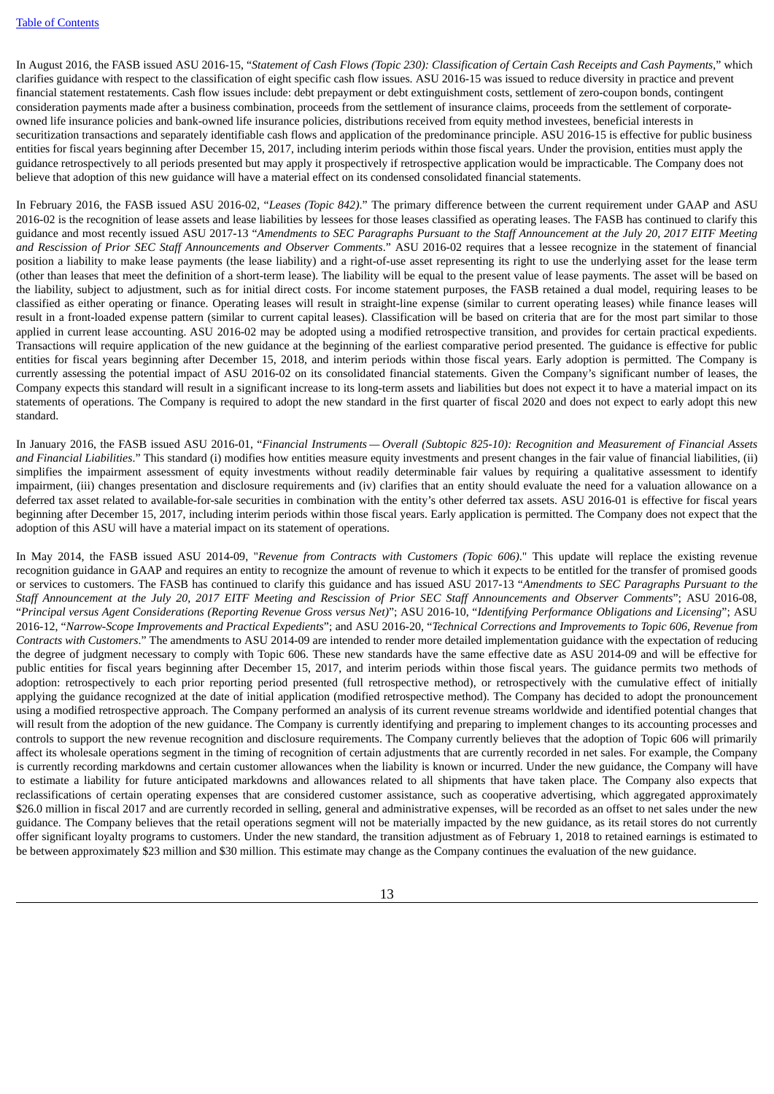In August 2016, the FASB issued ASU 2016-15, "Statement of Cash Flows (Topic 230): Classification of Certain Cash Receipts and Cash Payments," which clarifies guidance with respect to the classification of eight specific cash flow issues. ASU 2016-15 was issued to reduce diversity in practice and prevent financial statement restatements. Cash flow issues include: debt prepayment or debt extinguishment costs, settlement of zero-coupon bonds, contingent consideration payments made after a business combination, proceeds from the settlement of insurance claims, proceeds from the settlement of corporateowned life insurance policies and bank-owned life insurance policies, distributions received from equity method investees, beneficial interests in securitization transactions and separately identifiable cash flows and application of the predominance principle. ASU 2016-15 is effective for public business entities for fiscal years beginning after December 15, 2017, including interim periods within those fiscal years. Under the provision, entities must apply the guidance retrospectively to all periods presented but may apply it prospectively if retrospective application would be impracticable. The Company does not believe that adoption of this new guidance will have a material effect on its condensed consolidated financial statements.

In February 2016, the FASB issued ASU 2016-02, "*Leases (Topic 842)*." The primary difference between the current requirement under GAAP and ASU 2016-02 is the recognition of lease assets and lease liabilities by lessees for those leases classified as operating leases. The FASB has continued to clarify this guidance and most recently issued ASU 2017-13 "Amendments to SEC Paragraphs Pursuant to the Staff Announcement at the July 20, 2017 EITF Meeting *and Rescission of Prior SEC Staff Announcements and Observer Comments*." ASU 2016-02 requires that a lessee recognize in the statement of financial position a liability to make lease payments (the lease liability) and a right-of-use asset representing its right to use the underlying asset for the lease term (other than leases that meet the definition of a short-term lease). The liability will be equal to the present value of lease payments. The asset will be based on the liability, subject to adjustment, such as for initial direct costs. For income statement purposes, the FASB retained a dual model, requiring leases to be classified as either operating or finance. Operating leases will result in straight-line expense (similar to current operating leases) while finance leases will result in a front-loaded expense pattern (similar to current capital leases). Classification will be based on criteria that are for the most part similar to those applied in current lease accounting. ASU 2016-02 may be adopted using a modified retrospective transition, and provides for certain practical expedients. Transactions will require application of the new guidance at the beginning of the earliest comparative period presented. The guidance is effective for public entities for fiscal years beginning after December 15, 2018, and interim periods within those fiscal years. Early adoption is permitted. The Company is currently assessing the potential impact of ASU 2016-02 on its consolidated financial statements. Given the Company's significant number of leases, the Company expects this standard will result in a significant increase to its long-term assets and liabilities but does not expect it to have a material impact on its statements of operations. The Company is required to adopt the new standard in the first quarter of fiscal 2020 and does not expect to early adopt this new standard.

In January 2016, the FASB issued ASU 2016-01, "Financial Instruments - Overall (Subtopic 825-10): Recognition and Measurement of Financial Assets *and Financial Liabilities*." This standard (i) modifies how entities measure equity investments and present changes in the fair value of financial liabilities, (ii) simplifies the impairment assessment of equity investments without readily determinable fair values by requiring a qualitative assessment to identify impairment, (iii) changes presentation and disclosure requirements and (iv) clarifies that an entity should evaluate the need for a valuation allowance on a deferred tax asset related to available-for-sale securities in combination with the entity's other deferred tax assets. ASU 2016-01 is effective for fiscal years beginning after December 15, 2017, including interim periods within those fiscal years. Early application is permitted. The Company does not expect that the adoption of this ASU will have a material impact on its statement of operations.

In May 2014, the FASB issued ASU 2014-09, "*Revenue from Contracts with Customers (Topic 606)*." This update will replace the existing revenue recognition guidance in GAAP and requires an entity to recognize the amount of revenue to which it expects to be entitled for the transfer of promised goods or services to customers. The FASB has continued to clarify this guidance and has issued ASU 2017-13 "*Amendments to SEC Paragraphs Pursuant to the* Staff Announcement at the July 20, 2017 EITF Meeting and Rescission of Prior SEC Staff Announcements and Observer Comments"; ASU 2016-08, "Principal versus Agent Considerations (Reporting Revenue Gross versus Net)"; ASU 2016-10, "Identifying Performance Obligations and Licensing"; ASU 2016-12, "Narrow-Scope Improvements and Practical Expedients"; and ASU 2016-20, "Technical Corrections and Improvements to Topic 606, Revenue from *Contracts with Customers*." The amendments to ASU 2014-09 are intended to render more detailed implementation guidance with the expectation of reducing the degree of judgment necessary to comply with Topic 606. These new standards have the same effective date as ASU 2014-09 and will be effective for public entities for fiscal years beginning after December 15, 2017, and interim periods within those fiscal years. The guidance permits two methods of adoption: retrospectively to each prior reporting period presented (full retrospective method), or retrospectively with the cumulative effect of initially applying the guidance recognized at the date of initial application (modified retrospective method). The Company has decided to adopt the pronouncement using a modified retrospective approach. The Company performed an analysis of its current revenue streams worldwide and identified potential changes that will result from the adoption of the new guidance. The Company is currently identifying and preparing to implement changes to its accounting processes and controls to support the new revenue recognition and disclosure requirements. The Company currently believes that the adoption of Topic 606 will primarily affect its wholesale operations segment in the timing of recognition of certain adjustments that are currently recorded in net sales. For example, the Company is currently recording markdowns and certain customer allowances when the liability is known or incurred. Under the new guidance, the Company will have to estimate a liability for future anticipated markdowns and allowances related to all shipments that have taken place. The Company also expects that reclassifications of certain operating expenses that are considered customer assistance, such as cooperative advertising, which aggregated approximately \$26.0 million in fiscal 2017 and are currently recorded in selling, general and administrative expenses, will be recorded as an offset to net sales under the new guidance. The Company believes that the retail operations segment will not be materially impacted by the new guidance, as its retail stores do not currently offer significant loyalty programs to customers. Under the new standard, the transition adjustment as of February 1, 2018 to retained earnings is estimated to be between approximately \$23 million and \$30 million. This estimate may change as the Company continues the evaluation of the new guidance.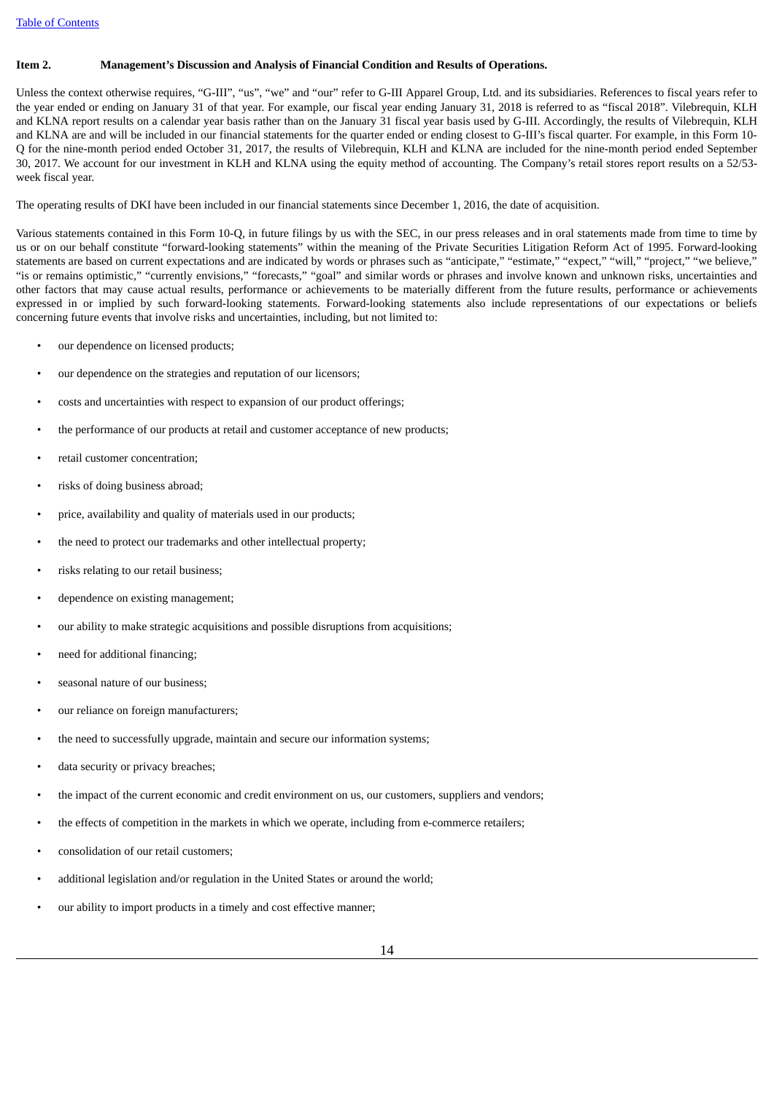#### <span id="page-13-0"></span>**Item 2. Management's Discussion and Analysis of Financial Condition and Results of Operations.**

Unless the context otherwise requires, "G-III", "us", "we" and "our" refer to G-III Apparel Group, Ltd. and its subsidiaries. References to fiscal years refer to the year ended or ending on January 31 of that year. For example, our fiscal year ending January 31, 2018 is referred to as "fiscal 2018". Vilebrequin, KLH and KLNA report results on a calendar year basis rather than on the January 31 fiscal year basis used by G-III. Accordingly, the results of Vilebrequin, KLH and KLNA are and will be included in our financial statements for the quarter ended or ending closest to G-III's fiscal quarter. For example, in this Form 10- Q for the nine-month period ended October 31, 2017, the results of Vilebrequin, KLH and KLNA are included for the nine-month period ended September 30, 2017. We account for our investment in KLH and KLNA using the equity method of accounting. The Company's retail stores report results on a 52/53 week fiscal year.

The operating results of DKI have been included in our financial statements since December 1, 2016, the date of acquisition.

Various statements contained in this Form 10-Q, in future filings by us with the SEC, in our press releases and in oral statements made from time to time by us or on our behalf constitute "forward-looking statements" within the meaning of the Private Securities Litigation Reform Act of 1995. Forward-looking statements are based on current expectations and are indicated by words or phrases such as "anticipate," "estimate," "expect," "will," "project," "we believe," "is or remains optimistic," "currently envisions," "forecasts," "goal" and similar words or phrases and involve known and unknown risks, uncertainties and other factors that may cause actual results, performance or achievements to be materially different from the future results, performance or achievements expressed in or implied by such forward-looking statements. Forward-looking statements also include representations of our expectations or beliefs concerning future events that involve risks and uncertainties, including, but not limited to:

- our dependence on licensed products;
- our dependence on the strategies and reputation of our licensors;
- costs and uncertainties with respect to expansion of our product offerings;
- the performance of our products at retail and customer acceptance of new products;
- retail customer concentration;
- risks of doing business abroad;
- price, availability and quality of materials used in our products;
- the need to protect our trademarks and other intellectual property;
- risks relating to our retail business;
- dependence on existing management;
- our ability to make strategic acquisitions and possible disruptions from acquisitions;
- need for additional financing;
- seasonal nature of our business;
- our reliance on foreign manufacturers;
- the need to successfully upgrade, maintain and secure our information systems;
- data security or privacy breaches;
- the impact of the current economic and credit environment on us, our customers, suppliers and vendors;
- the effects of competition in the markets in which we operate, including from e-commerce retailers;
- consolidation of our retail customers;
- additional legislation and/or regulation in the United States or around the world;
- our ability to import products in a timely and cost effective manner;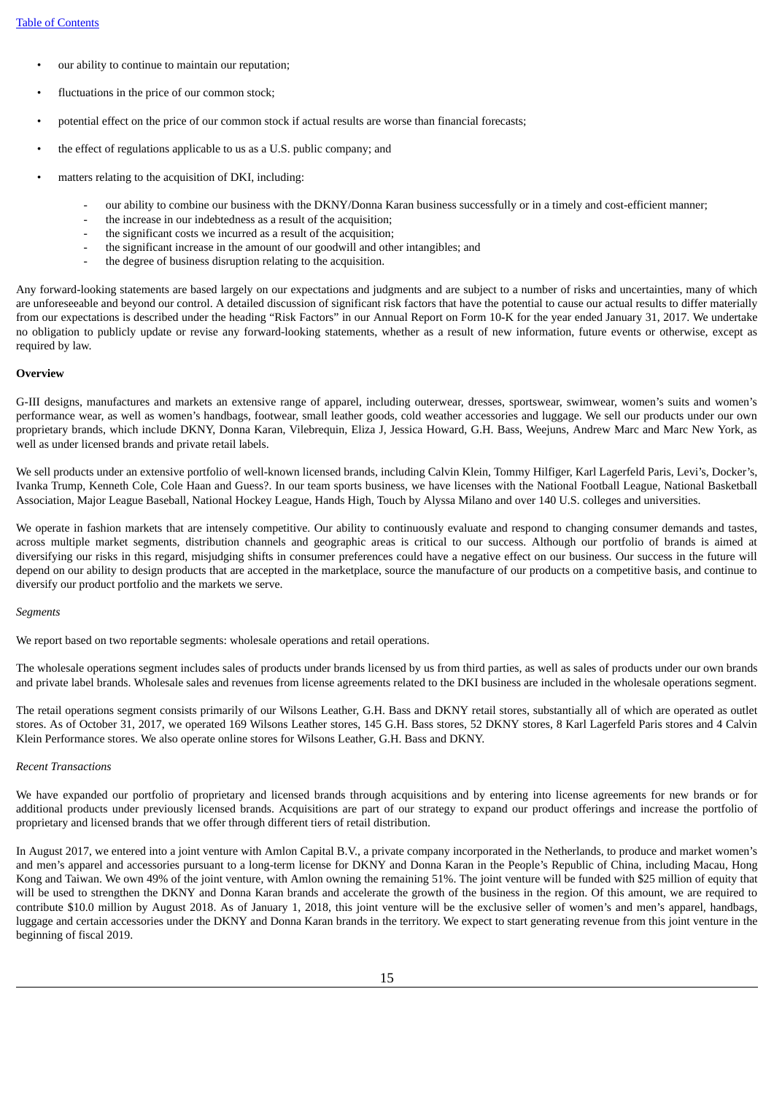- our ability to continue to maintain our reputation;
- fluctuations in the price of our common stock;
- potential effect on the price of our common stock if actual results are worse than financial forecasts;
- the effect of regulations applicable to us as a U.S. public company; and
- matters relating to the acquisition of DKI, including:
	- our ability to combine our business with the DKNY/Donna Karan business successfully or in a timely and cost-efficient manner;
	- the increase in our indebtedness as a result of the acquisition;
	- the significant costs we incurred as a result of the acquisition;
	- the significant increase in the amount of our goodwill and other intangibles; and
	- the degree of business disruption relating to the acquisition.

Any forward-looking statements are based largely on our expectations and judgments and are subject to a number of risks and uncertainties, many of which are unforeseeable and beyond our control. A detailed discussion of significant risk factors that have the potential to cause our actual results to differ materially from our expectations is described under the heading "Risk Factors" in our Annual Report on Form 10-K for the year ended January 31, 2017. We undertake no obligation to publicly update or revise any forward-looking statements, whether as a result of new information, future events or otherwise, except as required by law.

#### **Overview**

G-III designs, manufactures and markets an extensive range of apparel, including outerwear, dresses, sportswear, swimwear, women's suits and women's performance wear, as well as women's handbags, footwear, small leather goods, cold weather accessories and luggage. We sell our products under our own proprietary brands, which include DKNY, Donna Karan, Vilebrequin, Eliza J, Jessica Howard, G.H. Bass, Weejuns, Andrew Marc and Marc New York, as well as under licensed brands and private retail labels.

We sell products under an extensive portfolio of well-known licensed brands, including Calvin Klein, Tommy Hilfiger, Karl Lagerfeld Paris, Levi's, Docker's, Ivanka Trump, Kenneth Cole, Cole Haan and Guess?. In our team sports business, we have licenses with the National Football League, National Basketball Association, Major League Baseball, National Hockey League, Hands High, Touch by Alyssa Milano and over 140 U.S. colleges and universities.

We operate in fashion markets that are intensely competitive. Our ability to continuously evaluate and respond to changing consumer demands and tastes, across multiple market segments, distribution channels and geographic areas is critical to our success. Although our portfolio of brands is aimed at diversifying our risks in this regard, misjudging shifts in consumer preferences could have a negative effect on our business. Our success in the future will depend on our ability to design products that are accepted in the marketplace, source the manufacture of our products on a competitive basis, and continue to diversify our product portfolio and the markets we serve.

#### *Segments*

We report based on two reportable segments: wholesale operations and retail operations.

The wholesale operations segment includes sales of products under brands licensed by us from third parties, as well as sales of products under our own brands and private label brands. Wholesale sales and revenues from license agreements related to the DKI business are included in the wholesale operations segment.

The retail operations segment consists primarily of our Wilsons Leather, G.H. Bass and DKNY retail stores, substantially all of which are operated as outlet stores. As of October 31, 2017, we operated 169 Wilsons Leather stores, 145 G.H. Bass stores, 52 DKNY stores, 8 Karl Lagerfeld Paris stores and 4 Calvin Klein Performance stores. We also operate online stores for Wilsons Leather, G.H. Bass and DKNY.

#### *Recent Transactions*

We have expanded our portfolio of proprietary and licensed brands through acquisitions and by entering into license agreements for new brands or for additional products under previously licensed brands. Acquisitions are part of our strategy to expand our product offerings and increase the portfolio of proprietary and licensed brands that we offer through different tiers of retail distribution.

In August 2017, we entered into a joint venture with Amlon Capital B.V., a private company incorporated in the Netherlands, to produce and market women's and men's apparel and accessories pursuant to a long-term license for DKNY and Donna Karan in the People's Republic of China, including Macau, Hong Kong and Taiwan. We own 49% of the joint venture, with Amlon owning the remaining 51%. The joint venture will be funded with \$25 million of equity that will be used to strengthen the DKNY and Donna Karan brands and accelerate the growth of the business in the region. Of this amount, we are required to contribute \$10.0 million by August 2018. As of January 1, 2018, this joint venture will be the exclusive seller of women's and men's apparel, handbags, luggage and certain accessories under the DKNY and Donna Karan brands in the territory. We expect to start generating revenue from this joint venture in the beginning of fiscal 2019.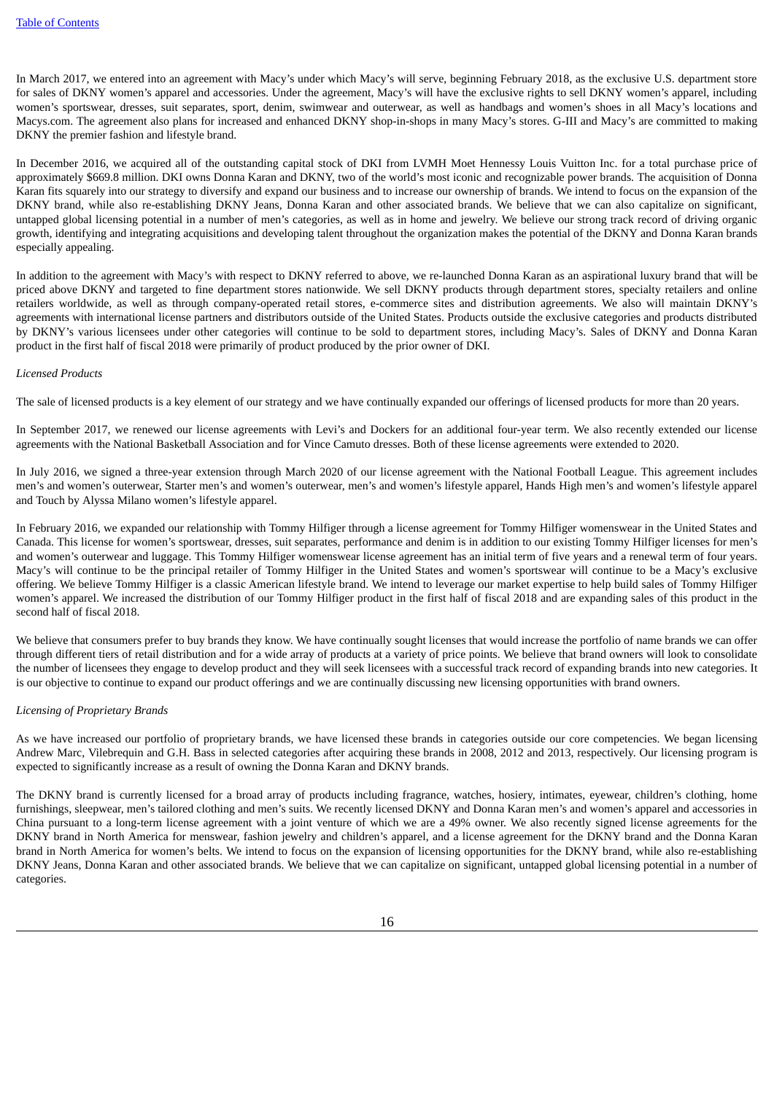In March 2017, we entered into an agreement with Macy's under which Macy's will serve, beginning February 2018, as the exclusive U.S. department store for sales of DKNY women's apparel and accessories. Under the agreement, Macy's will have the exclusive rights to sell DKNY women's apparel, including women's sportswear, dresses, suit separates, sport, denim, swimwear and outerwear, as well as handbags and women's shoes in all Macy's locations and Macys.com. The agreement also plans for increased and enhanced DKNY shop-in-shops in many Macy's stores. G-III and Macy's are committed to making DKNY the premier fashion and lifestyle brand.

In December 2016, we acquired all of the outstanding capital stock of DKI from LVMH Moet Hennessy Louis Vuitton Inc. for a total purchase price of approximately \$669.8 million. DKI owns Donna Karan and DKNY, two of the world's most iconic and recognizable power brands. The acquisition of Donna Karan fits squarely into our strategy to diversify and expand our business and to increase our ownership of brands. We intend to focus on the expansion of the DKNY brand, while also re-establishing DKNY Jeans, Donna Karan and other associated brands. We believe that we can also capitalize on significant, untapped global licensing potential in a number of men's categories, as well as in home and jewelry. We believe our strong track record of driving organic growth, identifying and integrating acquisitions and developing talent throughout the organization makes the potential of the DKNY and Donna Karan brands especially appealing.

In addition to the agreement with Macy's with respect to DKNY referred to above, we re-launched Donna Karan as an aspirational luxury brand that will be priced above DKNY and targeted to fine department stores nationwide. We sell DKNY products through department stores, specialty retailers and online retailers worldwide, as well as through company-operated retail stores, e-commerce sites and distribution agreements. We also will maintain DKNY's agreements with international license partners and distributors outside of the United States. Products outside the exclusive categories and products distributed by DKNY's various licensees under other categories will continue to be sold to department stores, including Macy's. Sales of DKNY and Donna Karan product in the first half of fiscal 2018 were primarily of product produced by the prior owner of DKI.

#### *Licensed Products*

The sale of licensed products is a key element of our strategy and we have continually expanded our offerings of licensed products for more than 20 years.

In September 2017, we renewed our license agreements with Levi's and Dockers for an additional four-year term. We also recently extended our license agreements with the National Basketball Association and for Vince Camuto dresses. Both of these license agreements were extended to 2020.

In July 2016, we signed a three-year extension through March 2020 of our license agreement with the National Football League. This agreement includes men's and women's outerwear, Starter men's and women's outerwear, men's and women's lifestyle apparel, Hands High men's and women's lifestyle apparel and Touch by Alyssa Milano women's lifestyle apparel.

In February 2016, we expanded our relationship with Tommy Hilfiger through a license agreement for Tommy Hilfiger womenswear in the United States and Canada. This license for women's sportswear, dresses, suit separates, performance and denim is in addition to our existing Tommy Hilfiger licenses for men's and women's outerwear and luggage. This Tommy Hilfiger womenswear license agreement has an initial term of five years and a renewal term of four years. Macy's will continue to be the principal retailer of Tommy Hilfiger in the United States and women's sportswear will continue to be a Macy's exclusive offering. We believe Tommy Hilfiger is a classic American lifestyle brand. We intend to leverage our market expertise to help build sales of Tommy Hilfiger women's apparel. We increased the distribution of our Tommy Hilfiger product in the first half of fiscal 2018 and are expanding sales of this product in the second half of fiscal 2018.

We believe that consumers prefer to buy brands they know. We have continually sought licenses that would increase the portfolio of name brands we can offer through different tiers of retail distribution and for a wide array of products at a variety of price points. We believe that brand owners will look to consolidate the number of licensees they engage to develop product and they will seek licensees with a successful track record of expanding brands into new categories. It is our objective to continue to expand our product offerings and we are continually discussing new licensing opportunities with brand owners.

#### *Licensing of Proprietary Brands*

As we have increased our portfolio of proprietary brands, we have licensed these brands in categories outside our core competencies. We began licensing Andrew Marc, Vilebrequin and G.H. Bass in selected categories after acquiring these brands in 2008, 2012 and 2013, respectively. Our licensing program is expected to significantly increase as a result of owning the Donna Karan and DKNY brands.

The DKNY brand is currently licensed for a broad array of products including fragrance, watches, hosiery, intimates, eyewear, children's clothing, home furnishings, sleepwear, men's tailored clothing and men's suits. We recently licensed DKNY and Donna Karan men's and women's apparel and accessories in China pursuant to a long-term license agreement with a joint venture of which we are a 49% owner. We also recently signed license agreements for the DKNY brand in North America for menswear, fashion jewelry and children's apparel, and a license agreement for the DKNY brand and the Donna Karan brand in North America for women's belts. We intend to focus on the expansion of licensing opportunities for the DKNY brand, while also re-establishing DKNY Jeans, Donna Karan and other associated brands. We believe that we can capitalize on significant, untapped global licensing potential in a number of categories.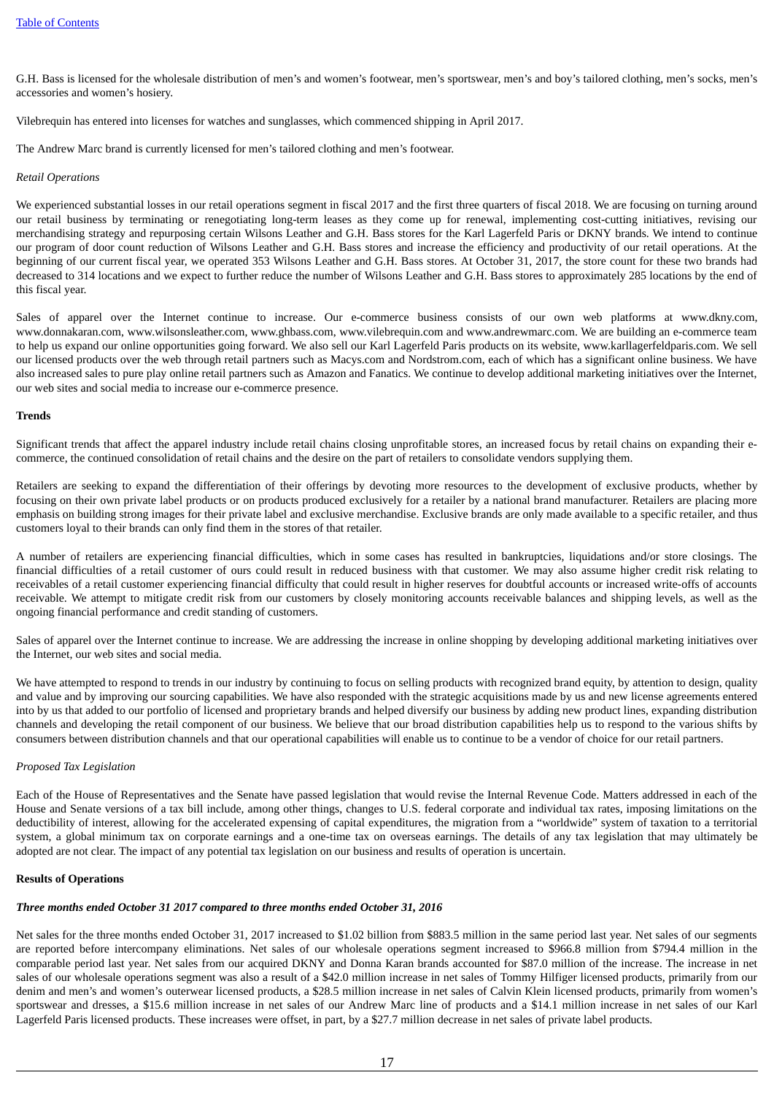G.H. Bass is licensed for the wholesale distribution of men's and women's footwear, men's sportswear, men's and boy's tailored clothing, men's socks, men's accessories and women's hosiery.

Vilebrequin has entered into licenses for watches and sunglasses, which commenced shipping in April 2017.

The Andrew Marc brand is currently licensed for men's tailored clothing and men's footwear.

#### *Retail Operations*

We experienced substantial losses in our retail operations segment in fiscal 2017 and the first three quarters of fiscal 2018. We are focusing on turning around our retail business by terminating or renegotiating long-term leases as they come up for renewal, implementing cost-cutting initiatives, revising our merchandising strategy and repurposing certain Wilsons Leather and G.H. Bass stores for the Karl Lagerfeld Paris or DKNY brands. We intend to continue our program of door count reduction of Wilsons Leather and G.H. Bass stores and increase the efficiency and productivity of our retail operations. At the beginning of our current fiscal year, we operated 353 Wilsons Leather and G.H. Bass stores. At October 31, 2017, the store count for these two brands had decreased to 314 locations and we expect to further reduce the number of Wilsons Leather and G.H. Bass stores to approximately 285 locations by the end of this fiscal year.

Sales of apparel over the Internet continue to increase. Our e-commerce business consists of our own web platforms at www.dkny.com, www.donnakaran.com, www.wilsonsleather.com, www.ghbass.com, www.vilebrequin.com and www.andrewmarc.com. We are building an e-commerce team to help us expand our online opportunities going forward. We also sell our Karl Lagerfeld Paris products on its website, www.karllagerfeldparis.com. We sell our licensed products over the web through retail partners such as Macys.com and Nordstrom.com, each of which has a significant online business. We have also increased sales to pure play online retail partners such as Amazon and Fanatics. We continue to develop additional marketing initiatives over the Internet, our web sites and social media to increase our e-commerce presence.

#### **Trends**

Significant trends that affect the apparel industry include retail chains closing unprofitable stores, an increased focus by retail chains on expanding their ecommerce, the continued consolidation of retail chains and the desire on the part of retailers to consolidate vendors supplying them.

Retailers are seeking to expand the differentiation of their offerings by devoting more resources to the development of exclusive products, whether by focusing on their own private label products or on products produced exclusively for a retailer by a national brand manufacturer. Retailers are placing more emphasis on building strong images for their private label and exclusive merchandise. Exclusive brands are only made available to a specific retailer, and thus customers loyal to their brands can only find them in the stores of that retailer.

A number of retailers are experiencing financial difficulties, which in some cases has resulted in bankruptcies, liquidations and/or store closings. The financial difficulties of a retail customer of ours could result in reduced business with that customer. We may also assume higher credit risk relating to receivables of a retail customer experiencing financial difficulty that could result in higher reserves for doubtful accounts or increased write-offs of accounts receivable. We attempt to mitigate credit risk from our customers by closely monitoring accounts receivable balances and shipping levels, as well as the ongoing financial performance and credit standing of customers.

Sales of apparel over the Internet continue to increase. We are addressing the increase in online shopping by developing additional marketing initiatives over the Internet, our web sites and social media.

We have attempted to respond to trends in our industry by continuing to focus on selling products with recognized brand equity, by attention to design, quality and value and by improving our sourcing capabilities. We have also responded with the strategic acquisitions made by us and new license agreements entered into by us that added to our portfolio of licensed and proprietary brands and helped diversify our business by adding new product lines, expanding distribution channels and developing the retail component of our business. We believe that our broad distribution capabilities help us to respond to the various shifts by consumers between distribution channels and that our operational capabilities will enable us to continue to be a vendor of choice for our retail partners.

#### *Proposed Tax Legislation*

Each of the House of Representatives and the Senate have passed legislation that would revise the Internal Revenue Code. Matters addressed in each of the House and Senate versions of a tax bill include, among other things, changes to U.S. federal corporate and individual tax rates, imposing limitations on the deductibility of interest, allowing for the accelerated expensing of capital expenditures, the migration from a "worldwide" system of taxation to a territorial system, a global minimum tax on corporate earnings and a one-time tax on overseas earnings. The details of any tax legislation that may ultimately be adopted are not clear. The impact of any potential tax legislation on our business and results of operation is uncertain.

#### **Results of Operations**

#### *Three months ended October 31 2017 compared to three months ended October 31, 2016*

Net sales for the three months ended October 31, 2017 increased to \$1.02 billion from \$883.5 million in the same period last year. Net sales of our segments are reported before intercompany eliminations. Net sales of our wholesale operations segment increased to \$966.8 million from \$794.4 million in the comparable period last year. Net sales from our acquired DKNY and Donna Karan brands accounted for \$87.0 million of the increase. The increase in net sales of our wholesale operations segment was also a result of a \$42.0 million increase in net sales of Tommy Hilfiger licensed products, primarily from our denim and men's and women's outerwear licensed products, a \$28.5 million increase in net sales of Calvin Klein licensed products, primarily from women's sportswear and dresses, a \$15.6 million increase in net sales of our Andrew Marc line of products and a \$14.1 million increase in net sales of our Karl Lagerfeld Paris licensed products. These increases were offset, in part, by a \$27.7 million decrease in net sales of private label products.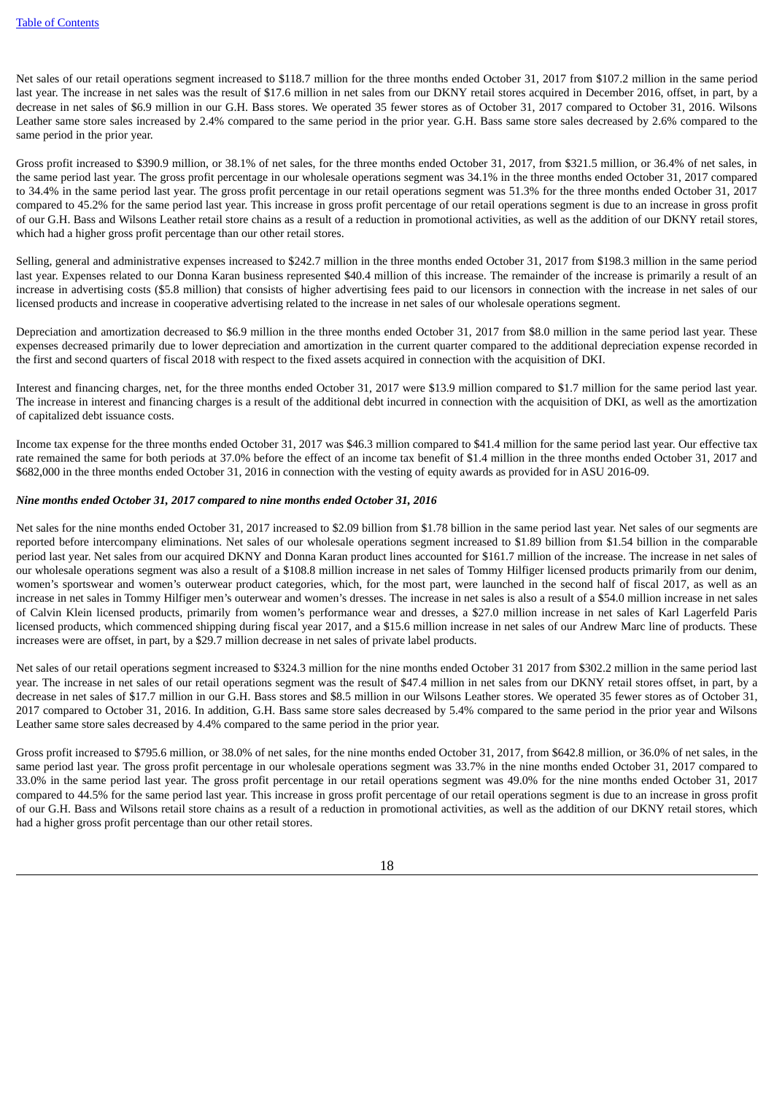Net sales of our retail operations segment increased to \$118.7 million for the three months ended October 31, 2017 from \$107.2 million in the same period last year. The increase in net sales was the result of \$17.6 million in net sales from our DKNY retail stores acquired in December 2016, offset, in part, by a decrease in net sales of \$6.9 million in our G.H. Bass stores. We operated 35 fewer stores as of October 31, 2017 compared to October 31, 2016. Wilsons Leather same store sales increased by 2.4% compared to the same period in the prior year. G.H. Bass same store sales decreased by 2.6% compared to the same period in the prior year.

Gross profit increased to \$390.9 million, or 38.1% of net sales, for the three months ended October 31, 2017, from \$321.5 million, or 36.4% of net sales, in the same period last year. The gross profit percentage in our wholesale operations segment was 34.1% in the three months ended October 31, 2017 compared to 34.4% in the same period last year. The gross profit percentage in our retail operations segment was 51.3% for the three months ended October 31, 2017 compared to 45.2% for the same period last year. This increase in gross profit percentage of our retail operations segment is due to an increase in gross profit of our G.H. Bass and Wilsons Leather retail store chains as a result of a reduction in promotional activities, as well as the addition of our DKNY retail stores, which had a higher gross profit percentage than our other retail stores.

Selling, general and administrative expenses increased to \$242.7 million in the three months ended October 31, 2017 from \$198.3 million in the same period last year. Expenses related to our Donna Karan business represented \$40.4 million of this increase. The remainder of the increase is primarily a result of an increase in advertising costs (\$5.8 million) that consists of higher advertising fees paid to our licensors in connection with the increase in net sales of our licensed products and increase in cooperative advertising related to the increase in net sales of our wholesale operations segment.

Depreciation and amortization decreased to \$6.9 million in the three months ended October 31, 2017 from \$8.0 million in the same period last year. These expenses decreased primarily due to lower depreciation and amortization in the current quarter compared to the additional depreciation expense recorded in the first and second quarters of fiscal 2018 with respect to the fixed assets acquired in connection with the acquisition of DKI.

Interest and financing charges, net, for the three months ended October 31, 2017 were \$13.9 million compared to \$1.7 million for the same period last year. The increase in interest and financing charges is a result of the additional debt incurred in connection with the acquisition of DKI, as well as the amortization of capitalized debt issuance costs.

Income tax expense for the three months ended October 31, 2017 was \$46.3 million compared to \$41.4 million for the same period last year. Our effective tax rate remained the same for both periods at 37.0% before the effect of an income tax benefit of \$1.4 million in the three months ended October 31, 2017 and \$682,000 in the three months ended October 31, 2016 in connection with the vesting of equity awards as provided for in ASU 2016-09.

#### *Nine months ended October 31, 2017 compared to nine months ended October 31, 2016*

Net sales for the nine months ended October 31, 2017 increased to \$2.09 billion from \$1.78 billion in the same period last year. Net sales of our segments are reported before intercompany eliminations. Net sales of our wholesale operations segment increased to \$1.89 billion from \$1.54 billion in the comparable period last year. Net sales from our acquired DKNY and Donna Karan product lines accounted for \$161.7 million of the increase. The increase in net sales of our wholesale operations segment was also a result of a \$108.8 million increase in net sales of Tommy Hilfiger licensed products primarily from our denim, women's sportswear and women's outerwear product categories, which, for the most part, were launched in the second half of fiscal 2017, as well as an increase in net sales in Tommy Hilfiger men's outerwear and women's dresses. The increase in net sales is also a result of a \$54.0 million increase in net sales of Calvin Klein licensed products, primarily from women's performance wear and dresses, a \$27.0 million increase in net sales of Karl Lagerfeld Paris licensed products, which commenced shipping during fiscal year 2017, and a \$15.6 million increase in net sales of our Andrew Marc line of products. These increases were are offset, in part, by a \$29.7 million decrease in net sales of private label products.

Net sales of our retail operations segment increased to \$324.3 million for the nine months ended October 31 2017 from \$302.2 million in the same period last year. The increase in net sales of our retail operations segment was the result of \$47.4 million in net sales from our DKNY retail stores offset, in part, by a decrease in net sales of \$17.7 million in our G.H. Bass stores and \$8.5 million in our Wilsons Leather stores. We operated 35 fewer stores as of October 31, 2017 compared to October 31, 2016. In addition, G.H. Bass same store sales decreased by 5.4% compared to the same period in the prior year and Wilsons Leather same store sales decreased by 4.4% compared to the same period in the prior year.

Gross profit increased to \$795.6 million, or 38.0% of net sales, for the nine months ended October 31, 2017, from \$642.8 million, or 36.0% of net sales, in the same period last year. The gross profit percentage in our wholesale operations segment was 33.7% in the nine months ended October 31, 2017 compared to 33.0% in the same period last year. The gross profit percentage in our retail operations segment was 49.0% for the nine months ended October 31, 2017 compared to 44.5% for the same period last year. This increase in gross profit percentage of our retail operations segment is due to an increase in gross profit of our G.H. Bass and Wilsons retail store chains as a result of a reduction in promotional activities, as well as the addition of our DKNY retail stores, which had a higher gross profit percentage than our other retail stores.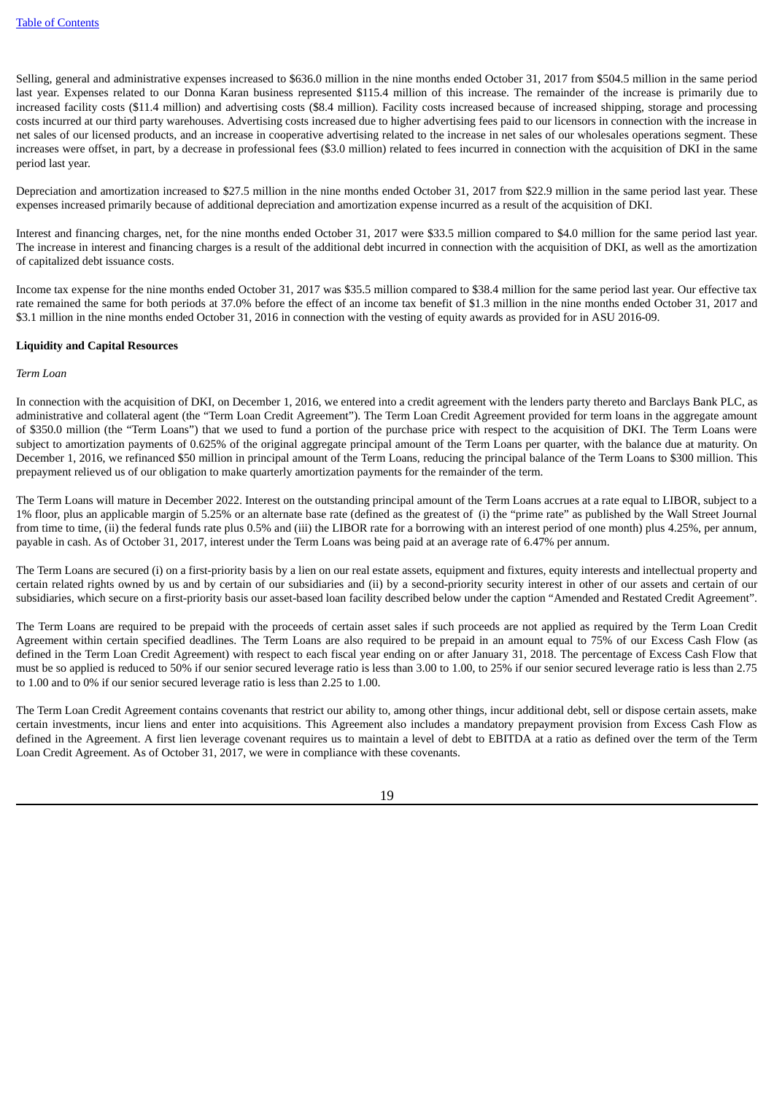Selling, general and administrative expenses increased to \$636.0 million in the nine months ended October 31, 2017 from \$504.5 million in the same period last year. Expenses related to our Donna Karan business represented \$115.4 million of this increase. The remainder of the increase is primarily due to increased facility costs (\$11.4 million) and advertising costs (\$8.4 million). Facility costs increased because of increased shipping, storage and processing costs incurred at our third party warehouses. Advertising costs increased due to higher advertising fees paid to our licensors in connection with the increase in net sales of our licensed products, and an increase in cooperative advertising related to the increase in net sales of our wholesales operations segment. These increases were offset, in part, by a decrease in professional fees (\$3.0 million) related to fees incurred in connection with the acquisition of DKI in the same period last year.

Depreciation and amortization increased to \$27.5 million in the nine months ended October 31, 2017 from \$22.9 million in the same period last year. These expenses increased primarily because of additional depreciation and amortization expense incurred as a result of the acquisition of DKI.

Interest and financing charges, net, for the nine months ended October 31, 2017 were \$33.5 million compared to \$4.0 million for the same period last year. The increase in interest and financing charges is a result of the additional debt incurred in connection with the acquisition of DKI, as well as the amortization of capitalized debt issuance costs.

Income tax expense for the nine months ended October 31, 2017 was \$35.5 million compared to \$38.4 million for the same period last year. Our effective tax rate remained the same for both periods at 37.0% before the effect of an income tax benefit of \$1.3 million in the nine months ended October 31, 2017 and \$3.1 million in the nine months ended October 31, 2016 in connection with the vesting of equity awards as provided for in ASU 2016-09.

#### **Liquidity and Capital Resources**

#### *Term Loan*

In connection with the acquisition of DKI, on December 1, 2016, we entered into a credit agreement with the lenders party thereto and Barclays Bank PLC, as administrative and collateral agent (the "Term Loan Credit Agreement"). The Term Loan Credit Agreement provided for term loans in the aggregate amount of \$350.0 million (the "Term Loans") that we used to fund a portion of the purchase price with respect to the acquisition of DKI. The Term Loans were subject to amortization payments of 0.625% of the original aggregate principal amount of the Term Loans per quarter, with the balance due at maturity. On December 1, 2016, we refinanced \$50 million in principal amount of the Term Loans, reducing the principal balance of the Term Loans to \$300 million. This prepayment relieved us of our obligation to make quarterly amortization payments for the remainder of the term.

The Term Loans will mature in December 2022. Interest on the outstanding principal amount of the Term Loans accrues at a rate equal to LIBOR, subject to a 1% floor, plus an applicable margin of 5.25% or an alternate base rate (defined as the greatest of (i) the "prime rate" as published by the Wall Street Journal from time to time, (ii) the federal funds rate plus 0.5% and (iii) the LIBOR rate for a borrowing with an interest period of one month) plus 4.25%, per annum, payable in cash. As of October 31, 2017, interest under the Term Loans was being paid at an average rate of 6.47% per annum.

The Term Loans are secured (i) on a first-priority basis by a lien on our real estate assets, equipment and fixtures, equity interests and intellectual property and certain related rights owned by us and by certain of our subsidiaries and (ii) by a second-priority security interest in other of our assets and certain of our subsidiaries, which secure on a first-priority basis our asset-based loan facility described below under the caption "Amended and Restated Credit Agreement".

The Term Loans are required to be prepaid with the proceeds of certain asset sales if such proceeds are not applied as required by the Term Loan Credit Agreement within certain specified deadlines. The Term Loans are also required to be prepaid in an amount equal to 75% of our Excess Cash Flow (as defined in the Term Loan Credit Agreement) with respect to each fiscal year ending on or after January 31, 2018. The percentage of Excess Cash Flow that must be so applied is reduced to 50% if our senior secured leverage ratio is less than 3.00 to 1.00, to 25% if our senior secured leverage ratio is less than 2.75 to 1.00 and to 0% if our senior secured leverage ratio is less than 2.25 to 1.00.

The Term Loan Credit Agreement contains covenants that restrict our ability to, among other things, incur additional debt, sell or dispose certain assets, make certain investments, incur liens and enter into acquisitions. This Agreement also includes a mandatory prepayment provision from Excess Cash Flow as defined in the Agreement. A first lien leverage covenant requires us to maintain a level of debt to EBITDA at a ratio as defined over the term of the Term Loan Credit Agreement. As of October 31, 2017, we were in compliance with these covenants.

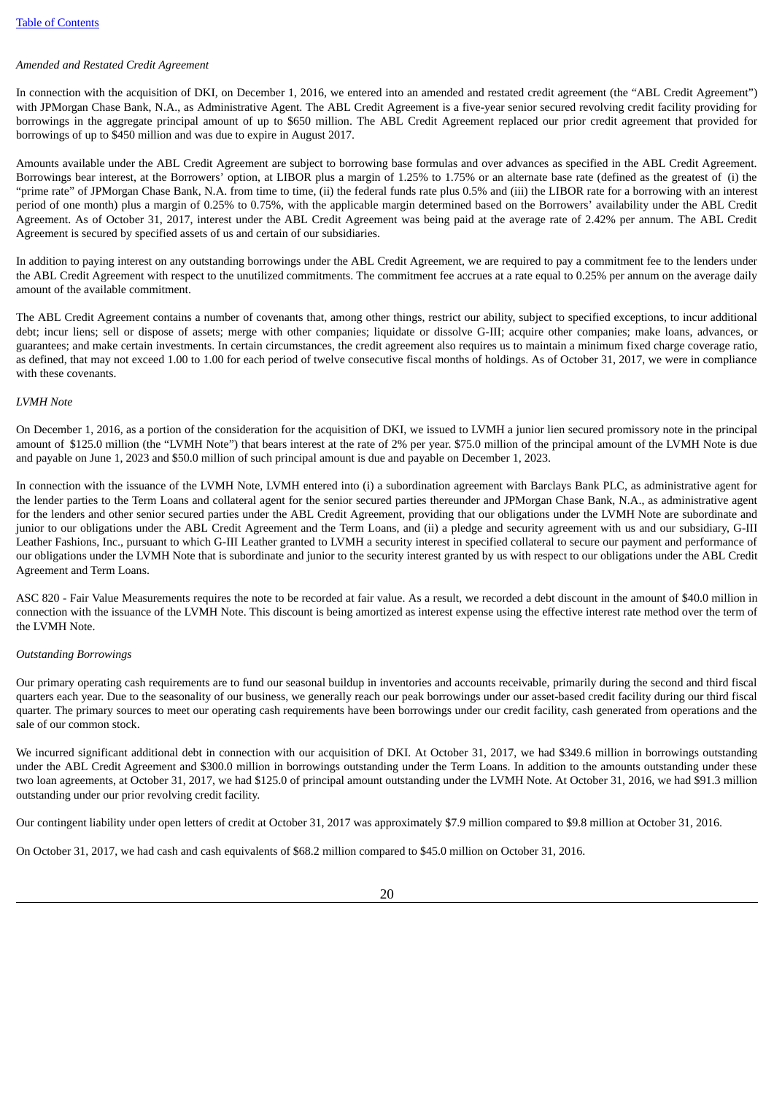# *Amended and Restated Credit Agreement*

In connection with the acquisition of DKI, on December 1, 2016, we entered into an amended and restated credit agreement (the "ABL Credit Agreement") with JPMorgan Chase Bank, N.A., as Administrative Agent. The ABL Credit Agreement is a five-year senior secured revolving credit facility providing for borrowings in the aggregate principal amount of up to \$650 million. The ABL Credit Agreement replaced our prior credit agreement that provided for borrowings of up to \$450 million and was due to expire in August 2017.

Amounts available under the ABL Credit Agreement are subject to borrowing base formulas and over advances as specified in the ABL Credit Agreement. Borrowings bear interest, at the Borrowers' option, at LIBOR plus a margin of 1.25% to 1.75% or an alternate base rate (defined as the greatest of (i) the "prime rate" of JPMorgan Chase Bank, N.A. from time to time, (ii) the federal funds rate plus 0.5% and (iii) the LIBOR rate for a borrowing with an interest period of one month) plus a margin of 0.25% to 0.75%, with the applicable margin determined based on the Borrowers' availability under the ABL Credit Agreement. As of October 31, 2017, interest under the ABL Credit Agreement was being paid at the average rate of 2.42% per annum. The ABL Credit Agreement is secured by specified assets of us and certain of our subsidiaries.

In addition to paying interest on any outstanding borrowings under the ABL Credit Agreement, we are required to pay a commitment fee to the lenders under the ABL Credit Agreement with respect to the unutilized commitments. The commitment fee accrues at a rate equal to 0.25% per annum on the average daily amount of the available commitment.

The ABL Credit Agreement contains a number of covenants that, among other things, restrict our ability, subject to specified exceptions, to incur additional debt; incur liens; sell or dispose of assets; merge with other companies; liquidate or dissolve G-III; acquire other companies; make loans, advances, or guarantees; and make certain investments. In certain circumstances, the credit agreement also requires us to maintain a minimum fixed charge coverage ratio, as defined, that may not exceed 1.00 to 1.00 for each period of twelve consecutive fiscal months of holdings. As of October 31, 2017, we were in compliance with these covenants.

#### *LVMH Note*

On December 1, 2016, as a portion of the consideration for the acquisition of DKI, we issued to LVMH a junior lien secured promissory note in the principal amount of \$125.0 million (the "LVMH Note") that bears interest at the rate of 2% per year. \$75.0 million of the principal amount of the LVMH Note is due and payable on June 1, 2023 and \$50.0 million of such principal amount is due and payable on December 1, 2023.

In connection with the issuance of the LVMH Note, LVMH entered into (i) a subordination agreement with Barclays Bank PLC, as administrative agent for the lender parties to the Term Loans and collateral agent for the senior secured parties thereunder and JPMorgan Chase Bank, N.A., as administrative agent for the lenders and other senior secured parties under the ABL Credit Agreement, providing that our obligations under the LVMH Note are subordinate and junior to our obligations under the ABL Credit Agreement and the Term Loans, and (ii) a pledge and security agreement with us and our subsidiary, G-III Leather Fashions, Inc., pursuant to which G-III Leather granted to LVMH a security interest in specified collateral to secure our payment and performance of our obligations under the LVMH Note that is subordinate and junior to the security interest granted by us with respect to our obligations under the ABL Credit Agreement and Term Loans.

ASC 820 - Fair Value Measurements requires the note to be recorded at fair value. As a result, we recorded a debt discount in the amount of \$40.0 million in connection with the issuance of the LVMH Note. This discount is being amortized as interest expense using the effective interest rate method over the term of the LVMH Note.

#### *Outstanding Borrowings*

Our primary operating cash requirements are to fund our seasonal buildup in inventories and accounts receivable, primarily during the second and third fiscal quarters each year. Due to the seasonality of our business, we generally reach our peak borrowings under our asset-based credit facility during our third fiscal quarter. The primary sources to meet our operating cash requirements have been borrowings under our credit facility, cash generated from operations and the sale of our common stock.

We incurred significant additional debt in connection with our acquisition of DKI. At October 31, 2017, we had \$349.6 million in borrowings outstanding under the ABL Credit Agreement and \$300.0 million in borrowings outstanding under the Term Loans. In addition to the amounts outstanding under these two loan agreements, at October 31, 2017, we had \$125.0 of principal amount outstanding under the LVMH Note. At October 31, 2016, we had \$91.3 million outstanding under our prior revolving credit facility.

Our contingent liability under open letters of credit at October 31, 2017 was approximately \$7.9 million compared to \$9.8 million at October 31, 2016.

On October 31, 2017, we had cash and cash equivalents of \$68.2 million compared to \$45.0 million on October 31, 2016.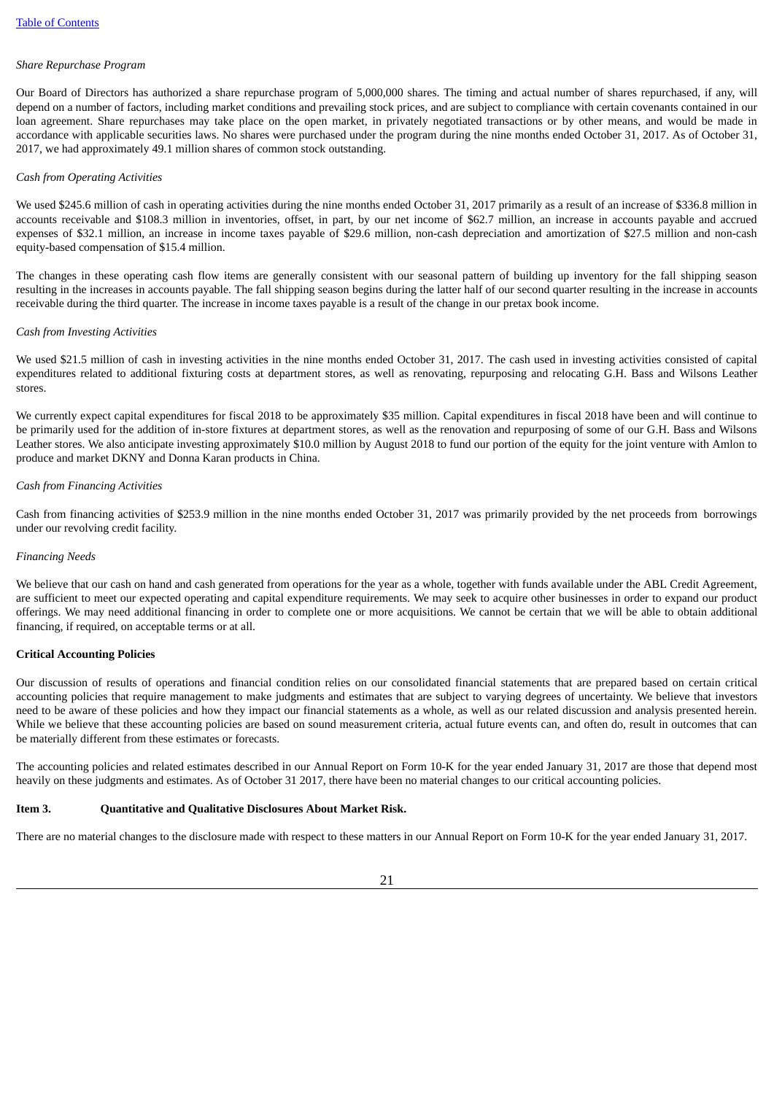#### *Share Repurchase Program*

Our Board of Directors has authorized a share repurchase program of 5,000,000 shares. The timing and actual number of shares repurchased, if any, will depend on a number of factors, including market conditions and prevailing stock prices, and are subject to compliance with certain covenants contained in our loan agreement. Share repurchases may take place on the open market, in privately negotiated transactions or by other means, and would be made in accordance with applicable securities laws. No shares were purchased under the program during the nine months ended October 31, 2017. As of October 31, 2017, we had approximately 49.1 million shares of common stock outstanding.

#### *Cash from Operating Activities*

We used \$245.6 million of cash in operating activities during the nine months ended October 31, 2017 primarily as a result of an increase of \$336.8 million in accounts receivable and \$108.3 million in inventories, offset, in part, by our net income of \$62.7 million, an increase in accounts payable and accrued expenses of \$32.1 million, an increase in income taxes payable of \$29.6 million, non-cash depreciation and amortization of \$27.5 million and non-cash equity-based compensation of \$15.4 million.

The changes in these operating cash flow items are generally consistent with our seasonal pattern of building up inventory for the fall shipping season resulting in the increases in accounts payable. The fall shipping season begins during the latter half of our second quarter resulting in the increase in accounts receivable during the third quarter. The increase in income taxes payable is a result of the change in our pretax book income.

#### *Cash from Investing Activities*

We used \$21.5 million of cash in investing activities in the nine months ended October 31, 2017. The cash used in investing activities consisted of capital expenditures related to additional fixturing costs at department stores, as well as renovating, repurposing and relocating G.H. Bass and Wilsons Leather stores.

We currently expect capital expenditures for fiscal 2018 to be approximately \$35 million. Capital expenditures in fiscal 2018 have been and will continue to be primarily used for the addition of in-store fixtures at department stores, as well as the renovation and repurposing of some of our G.H. Bass and Wilsons Leather stores. We also anticipate investing approximately \$10.0 million by August 2018 to fund our portion of the equity for the joint venture with Amlon to produce and market DKNY and Donna Karan products in China.

#### *Cash from Financing Activities*

Cash from financing activities of \$253.9 million in the nine months ended October 31, 2017 was primarily provided by the net proceeds from borrowings under our revolving credit facility.

#### *Financing Needs*

We believe that our cash on hand and cash generated from operations for the year as a whole, together with funds available under the ABL Credit Agreement, are sufficient to meet our expected operating and capital expenditure requirements. We may seek to acquire other businesses in order to expand our product offerings. We may need additional financing in order to complete one or more acquisitions. We cannot be certain that we will be able to obtain additional financing, if required, on acceptable terms or at all.

#### **Critical Accounting Policies**

Our discussion of results of operations and financial condition relies on our consolidated financial statements that are prepared based on certain critical accounting policies that require management to make judgments and estimates that are subject to varying degrees of uncertainty. We believe that investors need to be aware of these policies and how they impact our financial statements as a whole, as well as our related discussion and analysis presented herein. While we believe that these accounting policies are based on sound measurement criteria, actual future events can, and often do, result in outcomes that can be materially different from these estimates or forecasts.

The accounting policies and related estimates described in our Annual Report on Form 10-K for the year ended January 31, 2017 are those that depend most heavily on these judgments and estimates. As of October 31 2017, there have been no material changes to our critical accounting policies.

#### <span id="page-20-0"></span>**Item 3. Quantitative and Qualitative Disclosures About Market Risk.**

There are no material changes to the disclosure made with respect to these matters in our Annual Report on Form 10-K for the year ended January 31, 2017.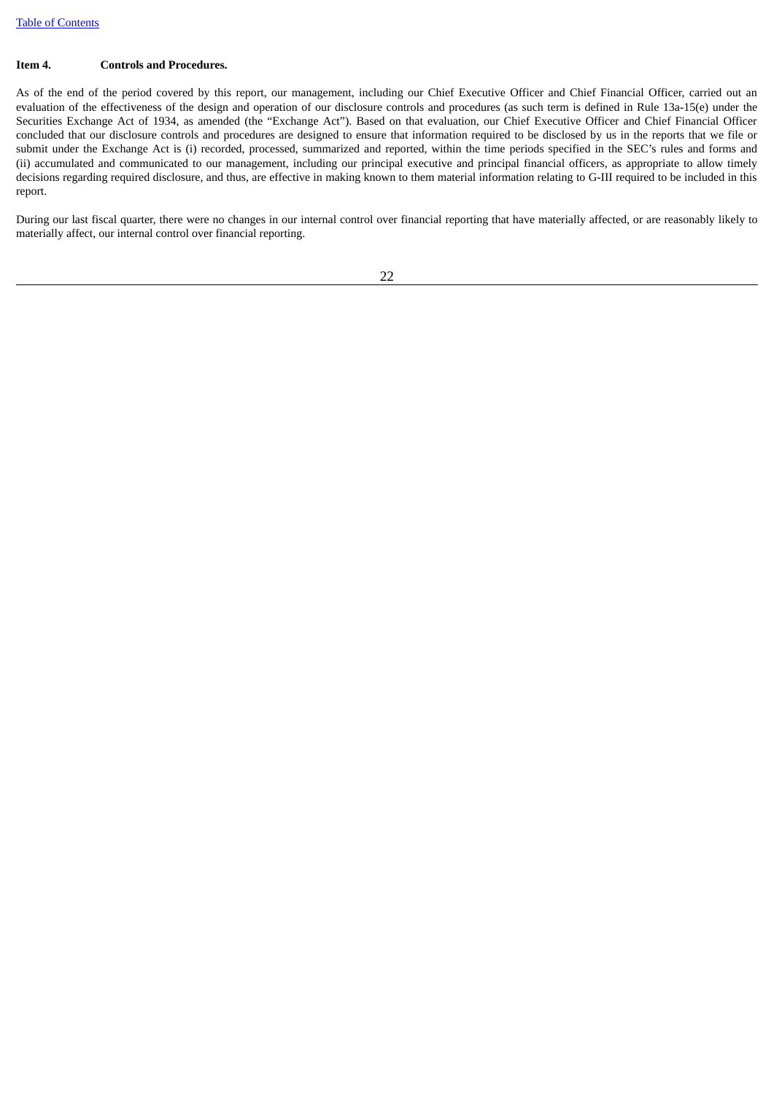#### <span id="page-21-0"></span>**Item 4. Controls and Procedures.**

As of the end of the period covered by this report, our management, including our Chief Executive Officer and Chief Financial Officer, carried out an evaluation of the effectiveness of the design and operation of our disclosure controls and procedures (as such term is defined in Rule 13a-15(e) under the Securities Exchange Act of 1934, as amended (the "Exchange Act"). Based on that evaluation, our Chief Executive Officer and Chief Financial Officer concluded that our disclosure controls and procedures are designed to ensure that information required to be disclosed by us in the reports that we file or submit under the Exchange Act is (i) recorded, processed, summarized and reported, within the time periods specified in the SEC's rules and forms and (ii) accumulated and communicated to our management, including our principal executive and principal financial officers, as appropriate to allow timely decisions regarding required disclosure, and thus, are effective in making known to them material information relating to G-III required to be included in this report.

During our last fiscal quarter, there were no changes in our internal control over financial reporting that have materially affected, or are reasonably likely to materially affect, our internal control over financial reporting.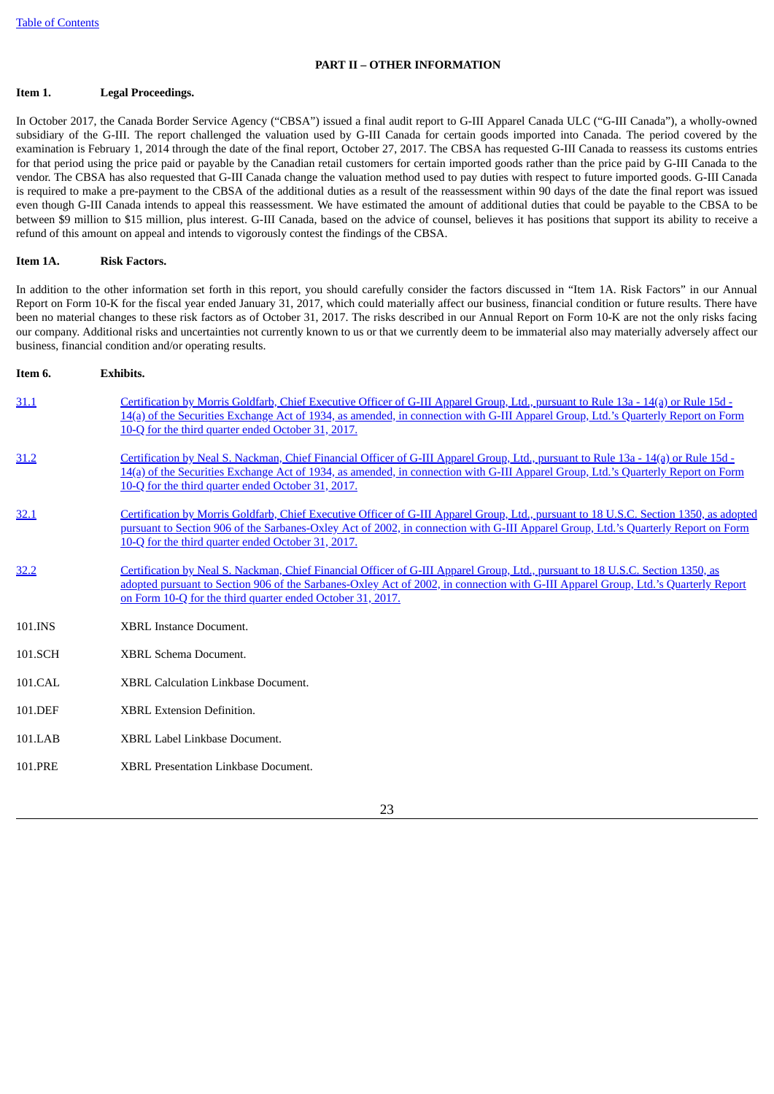#### **PART II – OTHER INFORMATION**

#### <span id="page-22-1"></span><span id="page-22-0"></span>**Item 1. Legal Proceedings.**

In October 2017, the Canada Border Service Agency ("CBSA") issued a final audit report to G-III Apparel Canada ULC ("G-III Canada"), a wholly-owned subsidiary of the G-III. The report challenged the valuation used by G-III Canada for certain goods imported into Canada. The period covered by the examination is February 1, 2014 through the date of the final report, October 27, 2017. The CBSA has requested G-III Canada to reassess its customs entries for that period using the price paid or payable by the Canadian retail customers for certain imported goods rather than the price paid by G-III Canada to the vendor. The CBSA has also requested that G-III Canada change the valuation method used to pay duties with respect to future imported goods. G-III Canada is required to make a pre-payment to the CBSA of the additional duties as a result of the reassessment within 90 days of the date the final report was issued even though G-III Canada intends to appeal this reassessment. We have estimated the amount of additional duties that could be payable to the CBSA to be between \$9 million to \$15 million, plus interest. G-III Canada, based on the advice of counsel, believes it has positions that support its ability to receive a refund of this amount on appeal and intends to vigorously contest the findings of the CBSA.

#### <span id="page-22-2"></span>**Item 1A. Risk Factors.**

In addition to the other information set forth in this report, you should carefully consider the factors discussed in "Item 1A. Risk Factors" in our Annual Report on Form 10-K for the fiscal year ended January 31, 2017, which could materially affect our business, financial condition or future results. There have been no material changes to these risk factors as of October 31, 2017. The risks described in our Annual Report on Form 10-K are not the only risks facing our company. Additional risks and uncertainties not currently known to us or that we currently deem to be immaterial also may materially adversely affect our business, financial condition and/or operating results.

<span id="page-22-3"></span>

| Item 6. | <b>Exhibits.</b>                                                                                                                                                                                                                                                                                                                   |
|---------|------------------------------------------------------------------------------------------------------------------------------------------------------------------------------------------------------------------------------------------------------------------------------------------------------------------------------------|
| 31.1    | Certification by Morris Goldfarb, Chief Executive Officer of G-III Apparel Group, Ltd., pursuant to Rule 13a - 14(a) or Rule 15d -<br>14(a) of the Securities Exchange Act of 1934, as amended, in connection with G-III Apparel Group, Ltd.'s Quarterly Report on Form<br>10-Q for the third quarter ended October 31, 2017.      |
| 31.2    | Certification by Neal S. Nackman, Chief Financial Officer of G-III Apparel Group, Ltd., pursuant to Rule 13a - 14(a) or Rule 15d -<br>14(a) of the Securities Exchange Act of 1934, as amended, in connection with G-III Apparel Group, Ltd.'s Quarterly Report on Form<br>10-Q for the third quarter ended October 31, 2017.      |
| 32.1    | Certification by Morris Goldfarb, Chief Executive Officer of G-III Apparel Group, Ltd., pursuant to 18 U.S.C. Section 1350, as adopted<br>pursuant to Section 906 of the Sarbanes-Oxley Act of 2002, in connection with G-III Apparel Group, Ltd.'s Quarterly Report on Form<br>10-Q for the third quarter ended October 31, 2017. |
| 32.2    | Certification by Neal S. Nackman, Chief Financial Officer of G-III Apparel Group, Ltd., pursuant to 18 U.S.C. Section 1350, as<br>adopted pursuant to Section 906 of the Sarbanes-Oxley Act of 2002, in connection with G-III Apparel Group, Ltd.'s Quarterly Report<br>on Form 10-Q for the third quarter ended October 31, 2017. |
| 101.INS | <b>XBRL Instance Document.</b>                                                                                                                                                                                                                                                                                                     |
| 101.SCH | <b>XBRL Schema Document.</b>                                                                                                                                                                                                                                                                                                       |
| 101.CAL | <b>XBRL Calculation Linkbase Document.</b>                                                                                                                                                                                                                                                                                         |
| 101.DEF | <b>XBRL Extension Definition.</b>                                                                                                                                                                                                                                                                                                  |
| 101.LAB | XBRL Label Linkbase Document.                                                                                                                                                                                                                                                                                                      |
| 101.PRE | <b>XBRL Presentation Linkbase Document.</b>                                                                                                                                                                                                                                                                                        |

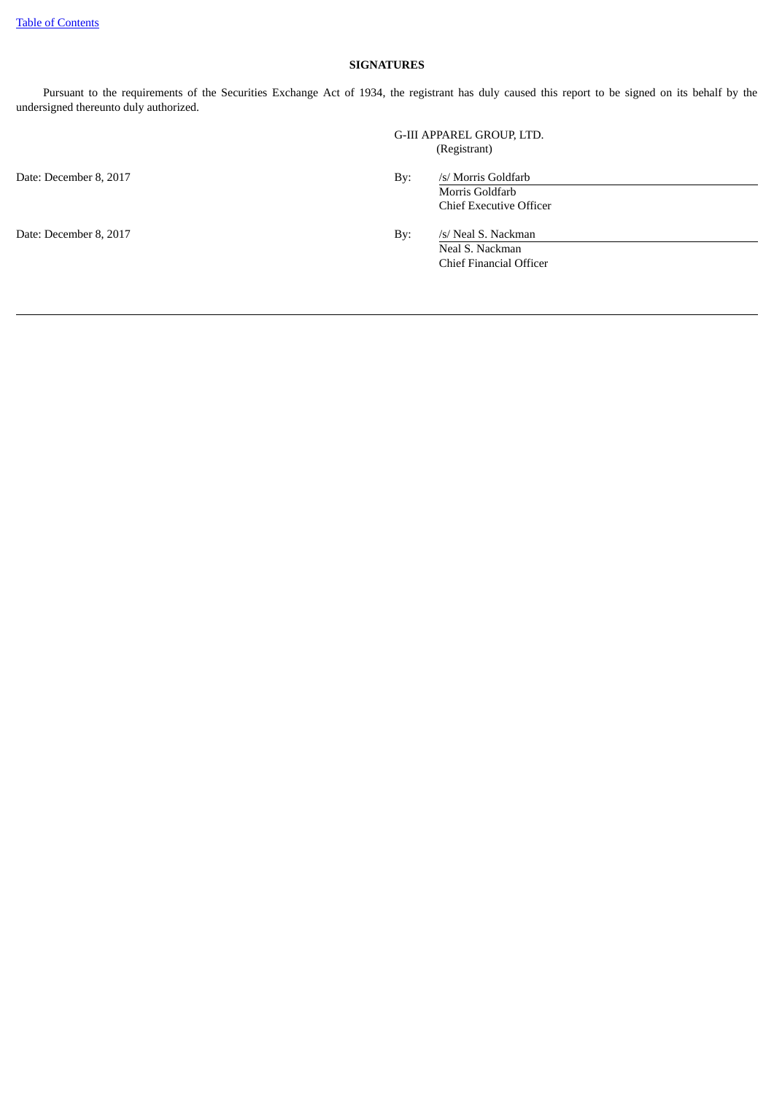### **SIGNATURES**

Pursuant to the requirements of the Securities Exchange Act of 1934, the registrant has duly caused this report to be signed on its behalf by the undersigned thereunto duly authorized.

Date: December 8, 2017 By: /s/ Morris Goldfarb

G-III APPAREL GROUP, LTD. (Registrant)

Morris Goldfarb Chief Executive Officer

Date: December 8, 2017 **By:** /s/ Neal S. Nackman

Neal S. Nackman Chief Financial Officer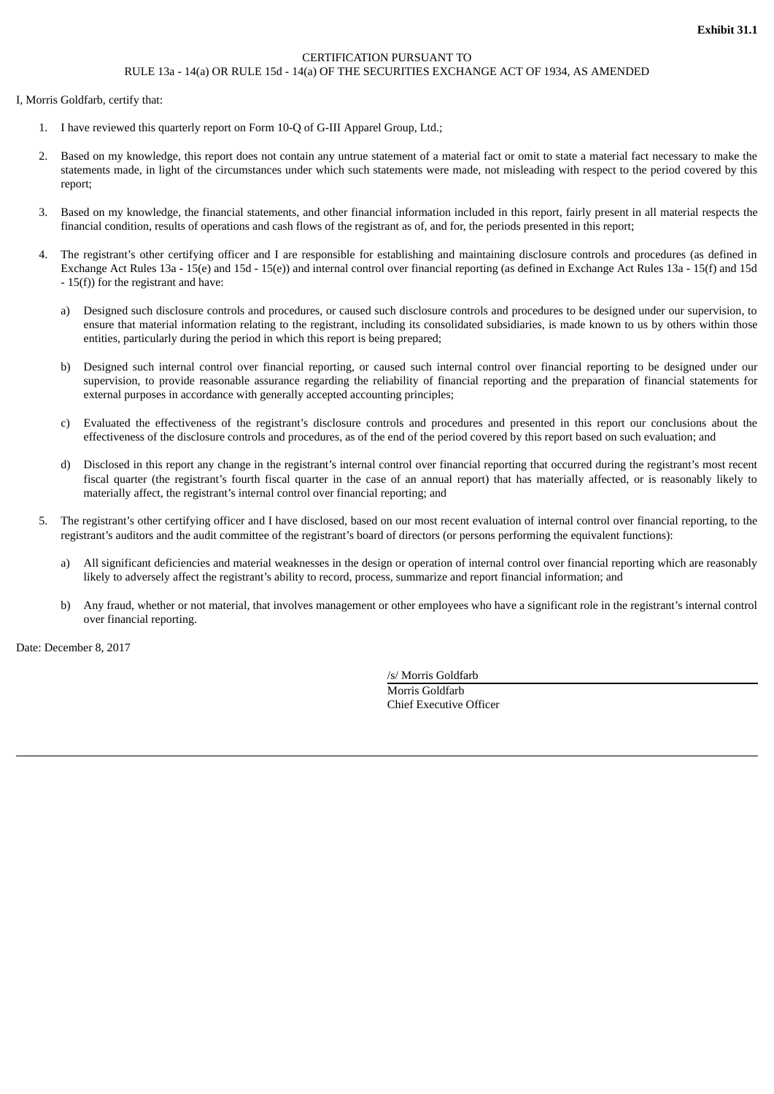#### CERTIFICATION PURSUANT TO RULE 13a - 14(a) OR RULE 15d - 14(a) OF THE SECURITIES EXCHANGE ACT OF 1934, AS AMENDED

<span id="page-24-0"></span>I, Morris Goldfarb, certify that:

- 1. I have reviewed this quarterly report on Form 10-Q of G-III Apparel Group, Ltd.;
- 2. Based on my knowledge, this report does not contain any untrue statement of a material fact or omit to state a material fact necessary to make the statements made, in light of the circumstances under which such statements were made, not misleading with respect to the period covered by this report;
- 3. Based on my knowledge, the financial statements, and other financial information included in this report, fairly present in all material respects the financial condition, results of operations and cash flows of the registrant as of, and for, the periods presented in this report;
- 4. The registrant's other certifying officer and I are responsible for establishing and maintaining disclosure controls and procedures (as defined in Exchange Act Rules 13a - 15(e) and 15d - 15(e)) and internal control over financial reporting (as defined in Exchange Act Rules 13a - 15(f) and 15d - 15(f)) for the registrant and have:
	- a) Designed such disclosure controls and procedures, or caused such disclosure controls and procedures to be designed under our supervision, to ensure that material information relating to the registrant, including its consolidated subsidiaries, is made known to us by others within those entities, particularly during the period in which this report is being prepared;
	- b) Designed such internal control over financial reporting, or caused such internal control over financial reporting to be designed under our supervision, to provide reasonable assurance regarding the reliability of financial reporting and the preparation of financial statements for external purposes in accordance with generally accepted accounting principles;
	- c) Evaluated the effectiveness of the registrant's disclosure controls and procedures and presented in this report our conclusions about the effectiveness of the disclosure controls and procedures, as of the end of the period covered by this report based on such evaluation; and
	- d) Disclosed in this report any change in the registrant's internal control over financial reporting that occurred during the registrant's most recent fiscal quarter (the registrant's fourth fiscal quarter in the case of an annual report) that has materially affected, or is reasonably likely to materially affect, the registrant's internal control over financial reporting; and
- 5. The registrant's other certifying officer and I have disclosed, based on our most recent evaluation of internal control over financial reporting, to the registrant's auditors and the audit committee of the registrant's board of directors (or persons performing the equivalent functions):
	- a) All significant deficiencies and material weaknesses in the design or operation of internal control over financial reporting which are reasonably likely to adversely affect the registrant's ability to record, process, summarize and report financial information; and
	- b) Any fraud, whether or not material, that involves management or other employees who have a significant role in the registrant's internal control over financial reporting.

Date: December 8, 2017

/s/ Morris Goldfarb Morris Goldfarb Chief Executive Officer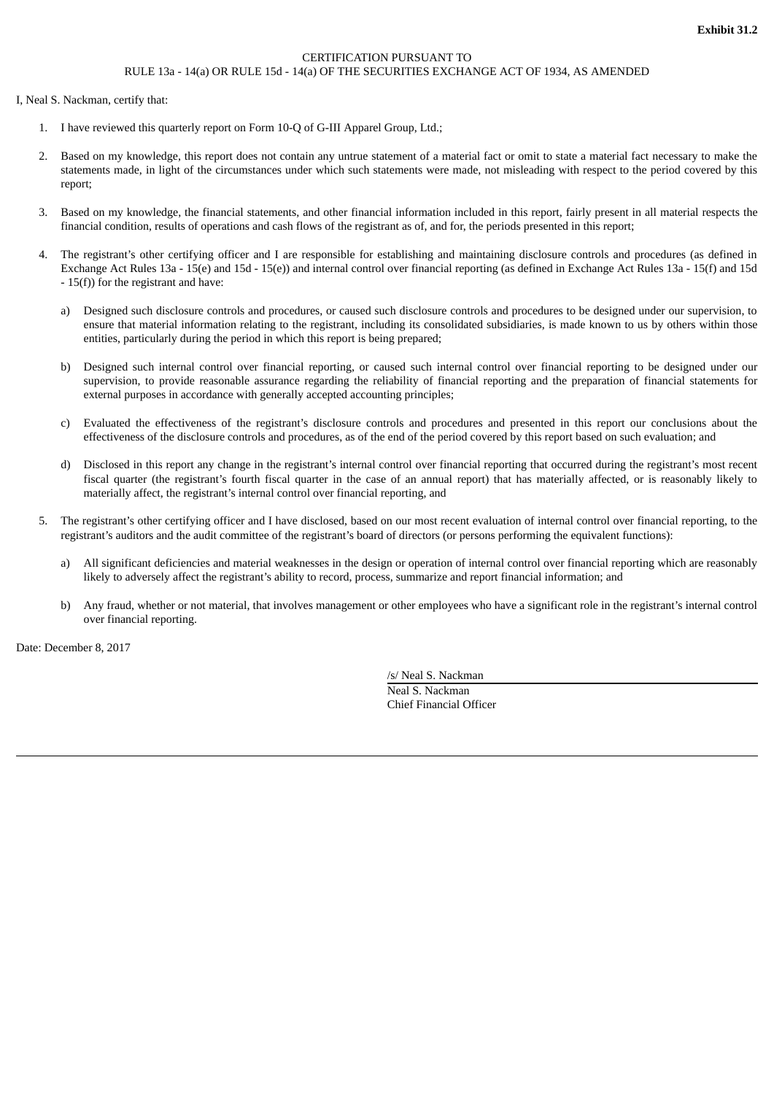### CERTIFICATION PURSUANT TO RULE 13a - 14(a) OR RULE 15d - 14(a) OF THE SECURITIES EXCHANGE ACT OF 1934, AS AMENDED

<span id="page-25-0"></span>I, Neal S. Nackman, certify that:

- 1. I have reviewed this quarterly report on Form 10-Q of G-III Apparel Group, Ltd.;
- 2. Based on my knowledge, this report does not contain any untrue statement of a material fact or omit to state a material fact necessary to make the statements made, in light of the circumstances under which such statements were made, not misleading with respect to the period covered by this report;
- 3. Based on my knowledge, the financial statements, and other financial information included in this report, fairly present in all material respects the financial condition, results of operations and cash flows of the registrant as of, and for, the periods presented in this report;
- 4. The registrant's other certifying officer and I are responsible for establishing and maintaining disclosure controls and procedures (as defined in Exchange Act Rules 13a - 15(e) and 15d - 15(e)) and internal control over financial reporting (as defined in Exchange Act Rules 13a - 15(f) and 15d - 15(f)) for the registrant and have:
	- a) Designed such disclosure controls and procedures, or caused such disclosure controls and procedures to be designed under our supervision, to ensure that material information relating to the registrant, including its consolidated subsidiaries, is made known to us by others within those entities, particularly during the period in which this report is being prepared;
	- b) Designed such internal control over financial reporting, or caused such internal control over financial reporting to be designed under our supervision, to provide reasonable assurance regarding the reliability of financial reporting and the preparation of financial statements for external purposes in accordance with generally accepted accounting principles;
	- c) Evaluated the effectiveness of the registrant's disclosure controls and procedures and presented in this report our conclusions about the effectiveness of the disclosure controls and procedures, as of the end of the period covered by this report based on such evaluation; and
	- d) Disclosed in this report any change in the registrant's internal control over financial reporting that occurred during the registrant's most recent fiscal quarter (the registrant's fourth fiscal quarter in the case of an annual report) that has materially affected, or is reasonably likely to materially affect, the registrant's internal control over financial reporting, and
- 5. The registrant's other certifying officer and I have disclosed, based on our most recent evaluation of internal control over financial reporting, to the registrant's auditors and the audit committee of the registrant's board of directors (or persons performing the equivalent functions):
	- a) All significant deficiencies and material weaknesses in the design or operation of internal control over financial reporting which are reasonably likely to adversely affect the registrant's ability to record, process, summarize and report financial information; and
	- b) Any fraud, whether or not material, that involves management or other employees who have a significant role in the registrant's internal control over financial reporting.

Date: December 8, 2017

/s/ Neal S. Nackman Neal S. Nackman Chief Financial Officer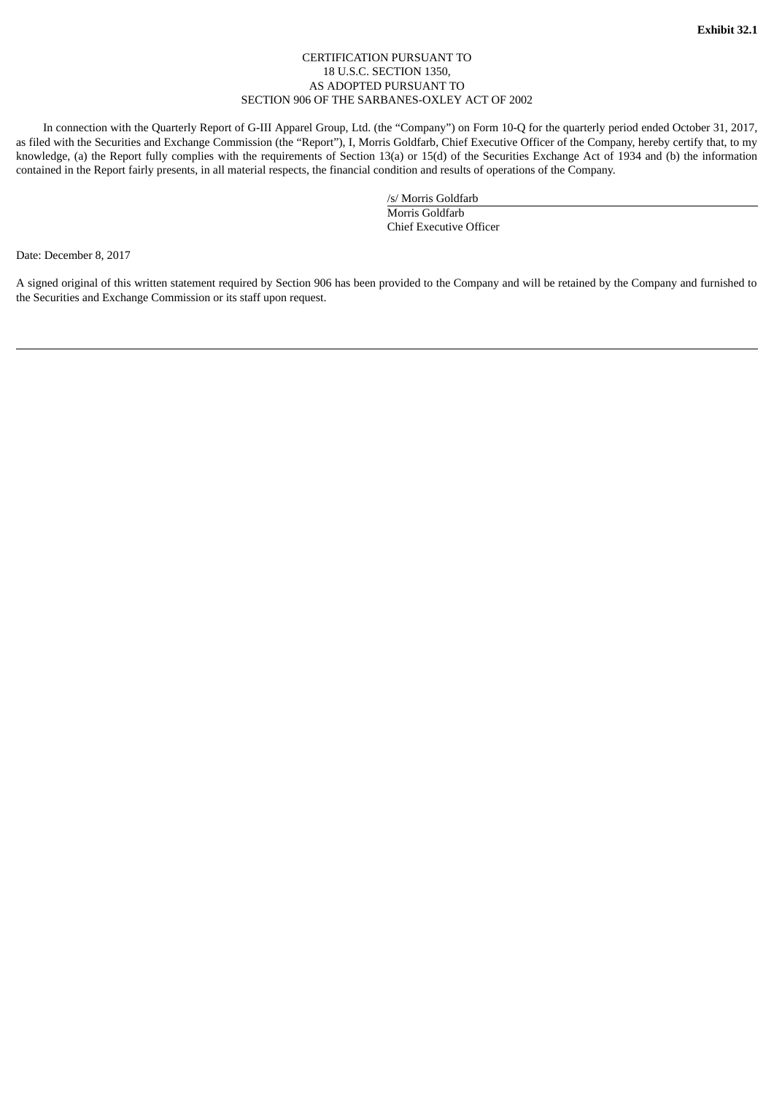#### CERTIFICATION PURSUANT TO 18 U.S.C. SECTION 1350, AS ADOPTED PURSUANT TO SECTION 906 OF THE SARBANES-OXLEY ACT OF 2002

<span id="page-26-0"></span>In connection with the Quarterly Report of G-III Apparel Group, Ltd. (the "Company") on Form 10-Q for the quarterly period ended October 31, 2017, as filed with the Securities and Exchange Commission (the "Report"), I, Morris Goldfarb, Chief Executive Officer of the Company, hereby certify that, to my knowledge, (a) the Report fully complies with the requirements of Section 13(a) or 15(d) of the Securities Exchange Act of 1934 and (b) the information contained in the Report fairly presents, in all material respects, the financial condition and results of operations of the Company.

> /s/ Morris Goldfarb Morris Goldfarb Chief Executive Officer

Date: December 8, 2017

A signed original of this written statement required by Section 906 has been provided to the Company and will be retained by the Company and furnished to the Securities and Exchange Commission or its staff upon request.